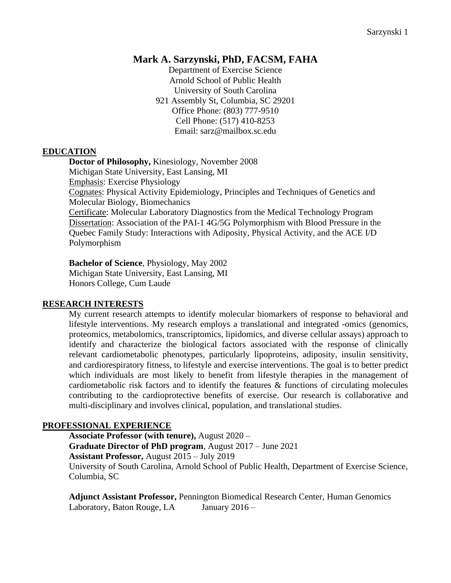## **Mark A. Sarzynski, PhD, FACSM, FAHA**

Department of Exercise Science Arnold School of Public Health University of South Carolina 921 Assembly St, Columbia, SC 29201 Office Phone: (803) 777-9510 Cell Phone: (517) 410-8253 Email: sarz@mailbox.sc.edu

#### **EDUCATION**

**Doctor of Philosophy,** Kinesiology, November 2008 Michigan State University, East Lansing, MI Emphasis: Exercise Physiology Cognates: Physical Activity Epidemiology, Principles and Techniques of Genetics and Molecular Biology, Biomechanics Certificate: Molecular Laboratory Diagnostics from the Medical Technology Program Dissertation: Association of the PAI-1 4G/5G Polymorphism with Blood Pressure in the Quebec Family Study: Interactions with Adiposity, Physical Activity, and the ACE I/D

Polymorphism

**Bachelor of Science**, Physiology, May 2002 Michigan State University, East Lansing, MI Honors College, Cum Laude

#### **RESEARCH INTERESTS**

My current research attempts to identify molecular biomarkers of response to behavioral and lifestyle interventions. My research employs a translational and integrated -omics (genomics, proteomics, metabolomics, transcriptomics, lipidomics, and diverse cellular assays) approach to identify and characterize the biological factors associated with the response of clinically relevant cardiometabolic phenotypes, particularly lipoproteins, adiposity, insulin sensitivity, and cardiorespiratory fitness, to lifestyle and exercise interventions. The goal is to better predict which individuals are most likely to benefit from lifestyle therapies in the management of cardiometabolic risk factors and to identify the features & functions of circulating molecules contributing to the cardioprotective benefits of exercise. Our research is collaborative and multi-disciplinary and involves clinical, population, and translational studies.

#### **PROFESSIONAL EXPERIENCE**

**Associate Professor (with tenure),** August 2020 – **Graduate Director of PhD program**, August 2017 – June 2021

**Assistant Professor,** August 2015 – July 2019

University of South Carolina, Arnold School of Public Health, Department of Exercise Science, Columbia, SC

**Adjunct Assistant Professor,** Pennington Biomedical Research Center, Human Genomics Laboratory, Baton Rouge, LA January 2016 –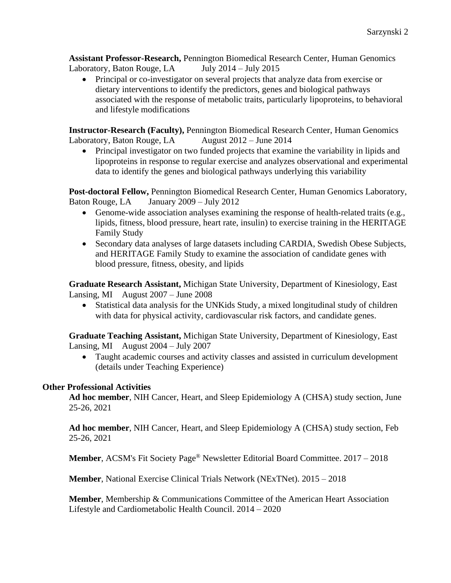**Assistant Professor-Research,** Pennington Biomedical Research Center, Human Genomics Laboratory, Baton Rouge, LA July 2014 – July 2015

• Principal or co-investigator on several projects that analyze data from exercise or dietary interventions to identify the predictors, genes and biological pathways associated with the response of metabolic traits, particularly lipoproteins, to behavioral and lifestyle modifications

**Instructor-Research (Faculty),** Pennington Biomedical Research Center, Human Genomics Laboratory, Baton Rouge, LA August 2012 – June 2014

• Principal investigator on two funded projects that examine the variability in lipids and lipoproteins in response to regular exercise and analyzes observational and experimental data to identify the genes and biological pathways underlying this variability

**Post-doctoral Fellow,** Pennington Biomedical Research Center, Human Genomics Laboratory, Baton Rouge, LA January 2009 – July 2012

- Genome-wide association analyses examining the response of health-related traits (e.g., lipids, fitness, blood pressure, heart rate, insulin) to exercise training in the HERITAGE Family Study
- Secondary data analyses of large datasets including CARDIA, Swedish Obese Subjects, and HERITAGE Family Study to examine the association of candidate genes with blood pressure, fitness, obesity, and lipids

**Graduate Research Assistant,** Michigan State University, Department of Kinesiology, East Lansing, MI August 2007 – June 2008

• Statistical data analysis for the UNKids Study, a mixed longitudinal study of children with data for physical activity, cardiovascular risk factors, and candidate genes.

**Graduate Teaching Assistant,** Michigan State University, Department of Kinesiology, East Lansing, MI August 2004 – July 2007

• Taught academic courses and activity classes and assisted in curriculum development (details under Teaching Experience)

## **Other Professional Activities**

**Ad hoc member**, NIH Cancer, Heart, and Sleep Epidemiology A (CHSA) study section, June 25-26, 2021

**Ad hoc member**, NIH Cancer, Heart, and Sleep Epidemiology A (CHSA) study section, Feb 25-26, 2021

**Member**, ACSM's Fit Society Page® Newsletter Editorial Board Committee. 2017 – 2018

**Member**, National Exercise Clinical Trials Network (NExTNet). 2015 – 2018

**Member**, Membership & Communications Committee of the American Heart Association Lifestyle and Cardiometabolic Health Council. 2014 – 2020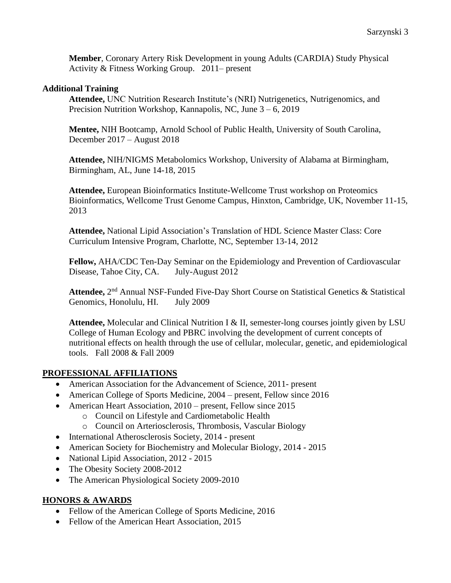**Member**, Coronary Artery Risk Development in young Adults (CARDIA) Study Physical Activity & Fitness Working Group. 2011– present

#### **Additional Training**

**Attendee,** UNC Nutrition Research Institute's (NRI) Nutrigenetics, Nutrigenomics, and Precision Nutrition Workshop, Kannapolis, NC, June 3 – 6, 2019

**Mentee,** NIH Bootcamp, Arnold School of Public Health, University of South Carolina, December 2017 – August 2018

**Attendee,** NIH/NIGMS Metabolomics Workshop, University of Alabama at Birmingham, Birmingham, AL, June 14-18, 2015

**Attendee,** European Bioinformatics Institute-Wellcome Trust workshop on Proteomics Bioinformatics, Wellcome Trust Genome Campus, Hinxton, Cambridge, UK, November 11-15, 2013

**Attendee,** National Lipid Association's Translation of HDL Science Master Class: Core Curriculum Intensive Program, Charlotte, NC, September 13-14, 2012

**Fellow,** AHA/CDC Ten-Day Seminar on the Epidemiology and Prevention of Cardiovascular Disease, Tahoe City, CA. July-August 2012

Attendee, 2<sup>nd</sup> Annual NSF-Funded Five-Day Short Course on Statistical Genetics & Statistical Genomics, Honolulu, HI. July 2009

**Attendee,** Molecular and Clinical Nutrition I & II, semester-long courses jointly given by LSU College of Human Ecology and PBRC involving the development of current concepts of nutritional effects on health through the use of cellular, molecular, genetic, and epidemiological tools. Fall 2008 & Fall 2009

## **PROFESSIONAL AFFILIATIONS**

- American Association for the Advancement of Science, 2011- present
- American College of Sports Medicine, 2004 present, Fellow since 2016
- American Heart Association, 2010 present, Fellow since 2015
	- o Council on Lifestyle and Cardiometabolic Health
	- o Council on Arteriosclerosis, Thrombosis, Vascular Biology
- International Atherosclerosis Society, 2014 present
- American Society for Biochemistry and Molecular Biology, 2014 2015
- National Lipid Association, 2012 2015
- The Obesity Society 2008-2012
- The American Physiological Society 2009-2010

#### **HONORS & AWARDS**

- Fellow of the American College of Sports Medicine, 2016
- Fellow of the American Heart Association, 2015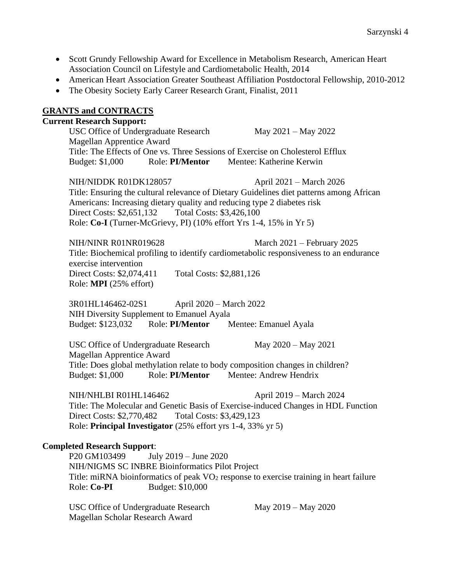- Scott Grundy Fellowship Award for Excellence in Metabolism Research, American Heart Association Council on Lifestyle and Cardiometabolic Health, 2014
- American Heart Association Greater Southeast Affiliation Postdoctoral Fellowship, 2010-2012
- The Obesity Society Early Career Research Grant, Finalist, 2011

#### **GRANTS and CONTRACTS**

# **Current Research Support:** USC Office of Undergraduate Research May 2021 – May 2022 Magellan Apprentice Award Title: The Effects of One vs. Three Sessions of Exercise on Cholesterol Efflux Budget: \$1,000 Role: **PI/Mentor** Mentee: Katherine Kerwin NIH/NIDDK R01DK128057 April 2021 – March 2026 Title: Ensuring the cultural relevance of Dietary Guidelines diet patterns among African Americans: Increasing dietary quality and reducing type 2 diabetes risk Direct Costs: \$2,651,132 Total Costs: \$3,426,100

Role: **Co-I** (Turner-McGrievy, PI) (10% effort Yrs 1-4, 15% in Yr 5)

NIH/NINR R01NR019628 March 2021 – February 2025 Title: Biochemical profiling to identify cardiometabolic responsiveness to an endurance exercise intervention Direct Costs: \$2,074,411 Total Costs: \$2,881,126 Role: **MPI** (25% effort)

3R01HL146462-02S1 April 2020 – March 2022 NIH Diversity Supplement to Emanuel Ayala Budget: \$123,032 Role: **PI/Mentor** Mentee: Emanuel Ayala

USC Office of Undergraduate Research May 2020 – May 2021 Magellan Apprentice Award Title: Does global methylation relate to body composition changes in children? Budget: \$1,000 Role: **PI/Mentor** Mentee: Andrew Hendrix

NIH/NHLBI R01HL146462 April 2019 – March 2024 Title: The Molecular and Genetic Basis of Exercise-induced Changes in HDL Function Direct Costs: \$2,770,482 Total Costs: \$3,429,123 Role: **Principal Investigator** (25% effort yrs 1-4, 33% yr 5)

#### **Completed Research Support**:

P20 GM103499 July 2019 – June 2020 NIH/NIGMS SC INBRE Bioinformatics Pilot Project Title: miRNA bioinformatics of peak VO<sub>2</sub> response to exercise training in heart failure Role: **Co-PI** Budget: \$10,000

USC Office of Undergraduate Research May 2019 – May 2020 Magellan Scholar Research Award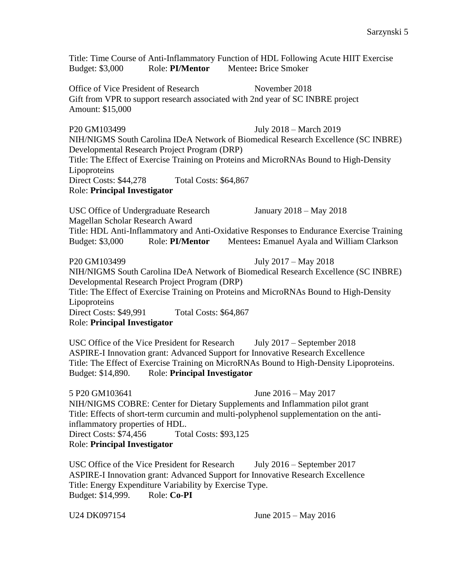Title: Time Course of Anti-Inflammatory Function of HDL Following Acute HIIT Exercise Budget: \$3,000 Role: **PI/Mentor** Mentee**:** Brice Smoker

Office of Vice President of Research November 2018 Gift from VPR to support research associated with 2nd year of SC INBRE project Amount: \$15,000

P20 GM103499 July 2018 – March 2019

NIH/NIGMS South Carolina IDeA Network of Biomedical Research Excellence (SC INBRE) Developmental Research Project Program (DRP) Title: The Effect of Exercise Training on Proteins and MicroRNAs Bound to High-Density Lipoproteins Direct Costs: \$44,278 Total Costs: \$64,867

Role: **Principal Investigator**

USC Office of Undergraduate Research January 2018 – May 2018 Magellan Scholar Research Award Title: HDL Anti-Inflammatory and Anti-Oxidative Responses to Endurance Exercise Training Budget: \$3,000 Role: **PI/Mentor** Mentees**:** Emanuel Ayala and William Clarkson

P20 GM103499 July 2017 – May 2018 NIH/NIGMS South Carolina IDeA Network of Biomedical Research Excellence (SC INBRE) Developmental Research Project Program (DRP) Title: The Effect of Exercise Training on Proteins and MicroRNAs Bound to High-Density Lipoproteins Direct Costs: \$49,991 Total Costs: \$64,867 Role: **Principal Investigator**

USC Office of the Vice President for Research July 2017 – September 2018 ASPIRE-I Innovation grant: Advanced Support for Innovative Research Excellence Title: The Effect of Exercise Training on MicroRNAs Bound to High-Density Lipoproteins. Budget: \$14,890. Role: **Principal Investigator**

5 P20 GM103641 June 2016 – May 2017 NIH/NIGMS COBRE: Center for Dietary Supplements and Inflammation pilot grant Title: Effects of short-term curcumin and multi-polyphenol supplementation on the antiinflammatory properties of HDL. Direct Costs: \$74,456 Total Costs: \$93,125 Role: **Principal Investigator**

USC Office of the Vice President for Research July 2016 – September 2017 ASPIRE-I Innovation grant: Advanced Support for Innovative Research Excellence Title: Energy Expenditure Variability by Exercise Type. Budget: \$14,999. Role: **Co-PI**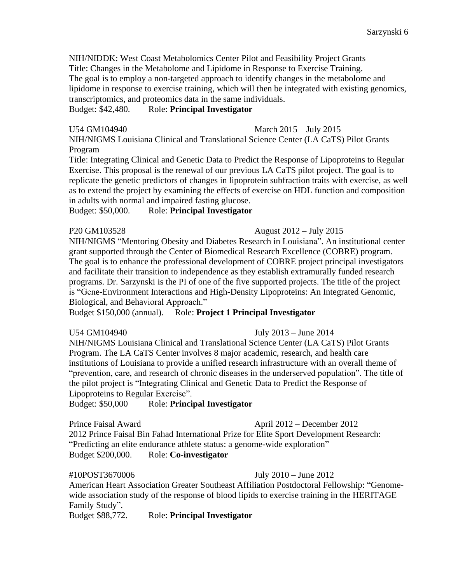NIH/NIDDK: West Coast Metabolomics Center Pilot and Feasibility Project Grants Title: Changes in the Metabolome and Lipidome in Response to Exercise Training. The goal is to employ a non-targeted approach to identify changes in the metabolome and lipidome in response to exercise training, which will then be integrated with existing genomics, transcriptomics, and proteomics data in the same individuals.

Budget: \$42,480. Role: **Principal Investigator**

U54 GM104940 March 2015 – July 2015

NIH/NIGMS Louisiana Clinical and Translational Science Center (LA CaTS) Pilot Grants Program

Title: Integrating Clinical and Genetic Data to Predict the Response of Lipoproteins to Regular Exercise. This proposal is the renewal of our previous LA CaTS pilot project. The goal is to replicate the genetic predictors of changes in lipoprotein subfraction traits with exercise, as well as to extend the project by examining the effects of exercise on HDL function and composition in adults with normal and impaired fasting glucose.

Budget: \$50,000. Role: **Principal Investigator**

P20 GM103528 August 2012 – July 2015

NIH/NIGMS "Mentoring Obesity and Diabetes Research in Louisiana". An institutional center grant supported through the Center of Biomedical Research Excellence (COBRE) program. The goal is to enhance the professional development of COBRE project principal investigators and facilitate their transition to independence as they establish extramurally funded research programs. Dr. Sarzynski is the PI of one of the five supported projects. The title of the project is "Gene-Environment Interactions and High-Density Lipoproteins: An Integrated Genomic, Biological, and Behavioral Approach."

Budget \$150,000 (annual). Role: **Project 1 Principal Investigator**

U54 GM104940 July 2013 – June 2014

NIH/NIGMS Louisiana Clinical and Translational Science Center (LA CaTS) Pilot Grants Program. The LA CaTS Center involves 8 major academic, research, and health care institutions of Louisiana to provide a unified research infrastructure with an overall theme of "prevention, care, and research of chronic diseases in the underserved population". The title of the pilot project is "Integrating Clinical and Genetic Data to Predict the Response of Lipoproteins to Regular Exercise".

Budget: \$50,000 Role: **Principal Investigator**

Prince Faisal Award April 2012 – December 2012

2012 Prince Faisal Bin Fahad International Prize for Elite Sport Development Research: "Predicting an elite endurance athlete status: a genome-wide exploration" Budget \$200,000. Role: **Co-investigator**

#### #10POST3670006 July 2010 – June 2012

American Heart Association Greater Southeast Affiliation Postdoctoral Fellowship: "Genomewide association study of the response of blood lipids to exercise training in the HERITAGE Family Study".

Budget \$88,772. Role: **Principal Investigator**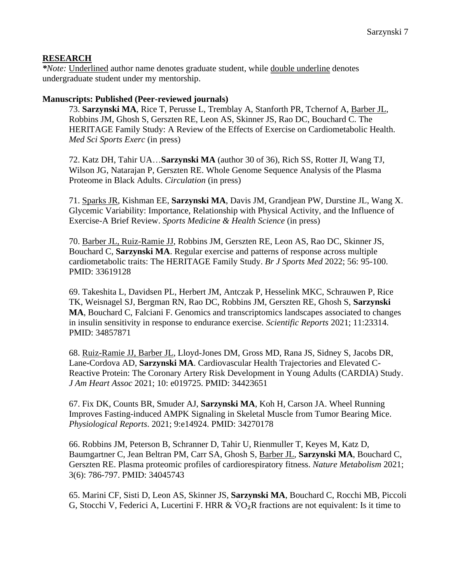#### **RESEARCH**

*\*Note:* Underlined author name denotes graduate student, while double underline denotes undergraduate student under my mentorship.

#### **Manuscripts: Published (Peer-reviewed journals)**

73. **Sarzynski MA**, Rice T, Perusse L, Tremblay A, Stanforth PR, Tchernof A, Barber JL, Robbins JM, Ghosh S, Gerszten RE, Leon AS, Skinner JS, Rao DC, Bouchard C. The HERITAGE Family Study: A Review of the Effects of Exercise on Cardiometabolic Health. *Med Sci Sports Exerc* (in press)

72. Katz DH, Tahir UA…**Sarzynski MA** (author 30 of 36), Rich SS, Rotter JI, Wang TJ, Wilson JG, Natarajan P, Gerszten RE. Whole Genome Sequence Analysis of the Plasma Proteome in Black Adults. *Circulation* (in press)

71. Sparks JR, Kishman EE, **Sarzynski MA**, Davis JM, Grandjean PW, Durstine JL, Wang X. Glycemic Variability: Importance, Relationship with Physical Activity, and the Influence of Exercise-A Brief Review. *Sports Medicine & Health Science* (in press)

70. Barber JL, Ruiz-Ramie JJ, Robbins JM, Gerszten RE, Leon AS, Rao DC, Skinner JS, Bouchard C, **Sarzynski MA**. Regular exercise and patterns of response across multiple cardiometabolic traits: The HERITAGE Family Study. *Br J Sports Med* 2022; 56: 95-100. PMID: 33619128

69. Takeshita L, Davidsen PL, Herbert JM, Antczak P, Hesselink MKC, Schrauwen P, Rice TK, Weisnagel SJ, Bergman RN, Rao DC, Robbins JM, Gerszten RE, Ghosh S, **Sarzynski MA**, Bouchard C, Falciani F. Genomics and transcriptomics landscapes associated to changes in insulin sensitivity in response to endurance exercise. *Scientific Reports* 2021; 11:23314. PMID: 34857871

68. Ruiz-Ramie JJ, Barber JL, Lloyd-Jones DM, Gross MD, Rana JS, Sidney S, Jacobs DR, Lane-Cordova AD, **Sarzynski MA**. Cardiovascular Health Trajectories and Elevated C-Reactive Protein: The Coronary Artery Risk Development in Young Adults (CARDIA) Study. *J Am Heart Assoc* 2021; 10: e019725. PMID: 34423651

67. Fix DK, Counts BR, Smuder AJ, **Sarzynski MA**, Koh H, Carson JA. Wheel Running Improves Fasting-induced AMPK Signaling in Skeletal Muscle from Tumor Bearing Mice. *Physiological Reports*. 2021; 9:e14924. PMID: 34270178

66. Robbins JM, Peterson B, Schranner D, Tahir U, Rienmuller T, Keyes M, Katz D, Baumgartner C, Jean Beltran PM, Carr SA, Ghosh S, Barber JL, **Sarzynski MA**, Bouchard C, Gerszten RE. Plasma proteomic profiles of cardiorespiratory fitness. *Nature Metabolism* 2021; 3(6): 786-797. PMID: 34045743

65. Marini CF, Sisti D, Leon AS, Skinner JS, **Sarzynski MA**, Bouchard C, Rocchi MB, Piccoli G, Stocchi V, Federici A, Lucertini F. HRR  $& \text{VO}_2 \text{R}$  fractions are not equivalent: Is it time to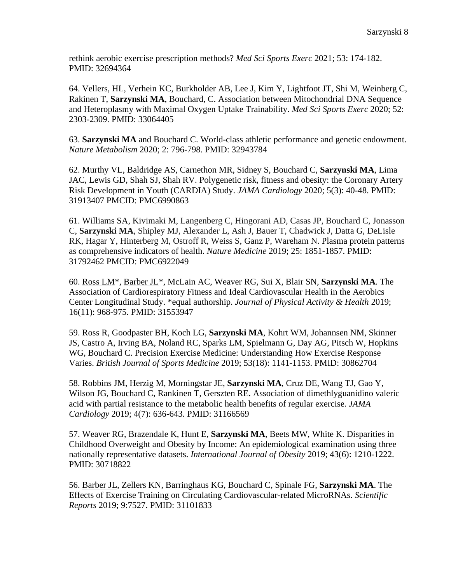rethink aerobic exercise prescription methods? *Med Sci Sports Exerc* 2021; 53: 174-182. PMID: 32694364

64. Vellers, HL, Verhein KC, Burkholder AB, Lee J, Kim Y, Lightfoot JT, Shi M, Weinberg C, Rakinen T, **Sarzynski MA**, Bouchard, C. Association between Mitochondrial DNA Sequence and Heteroplasmy with Maximal Oxygen Uptake Trainability. *Med Sci Sports Exerc* 2020; 52: 2303-2309. PMID: 33064405

63. **Sarzynski MA** and Bouchard C. World-class athletic performance and genetic endowment. *Nature Metabolism* 2020; 2: 796-798. PMID: 32943784

62. Murthy VL, Baldridge AS, Carnethon MR, Sidney S, Bouchard C, **Sarzynski MA**, Lima JAC, Lewis GD, Shah SJ, Shah RV. Polygenetic risk, fitness and obesity: the Coronary Artery Risk Development in Youth (CARDIA) Study. *JAMA Cardiology* 2020; 5(3): 40-48. PMID: 31913407 PMCID: PMC6990863

61. Williams SA, Kivimaki M, Langenberg C, Hingorani AD, Casas JP, Bouchard C, Jonasson C, **Sarzynski MA**, Shipley MJ, Alexander L, Ash J, Bauer T, Chadwick J, Datta G, DeLisle RK, Hagar Y, Hinterberg M, Ostroff R, Weiss S, Ganz P, Wareham N. Plasma protein patterns as comprehensive indicators of health. *Nature Medicine* 2019; 25: 1851-1857. PMID: 31792462 PMCID: PMC6922049

60. Ross LM\*, Barber JL\*, McLain AC, Weaver RG, Sui X, Blair SN, **Sarzynski MA**. The Association of Cardiorespiratory Fitness and Ideal Cardiovascular Health in the Aerobics Center Longitudinal Study. \*equal authorship. *Journal of Physical Activity & Health* 2019; 16(11): 968-975. PMID: 31553947

59. Ross R, Goodpaster BH, Koch LG, **Sarzynski MA**, Kohrt WM, Johannsen NM, Skinner JS, Castro A, Irving BA, Noland RC, Sparks LM, Spielmann G, Day AG, Pitsch W, Hopkins WG, Bouchard C. Precision Exercise Medicine: Understanding How Exercise Response Varies. *British Journal of Sports Medicine* 2019; 53(18): 1141-1153. PMID: 30862704

58. Robbins JM, Herzig M, Morningstar JE, **Sarzynski MA**, Cruz DE, Wang TJ, Gao Y, Wilson JG, Bouchard C, Rankinen T, Gerszten RE. Association of dimethlyguanidino valeric acid with partial resistance to the metabolic health benefits of regular exercise. *JAMA Cardiology* 2019; 4(7): 636-643. PMID: 31166569

57. Weaver RG, Brazendale K, Hunt E, **Sarzynski MA**, Beets MW, White K. Disparities in Childhood Overweight and Obesity by Income: An epidemiological examination using three nationally representative datasets. *International Journal of Obesity* 2019; 43(6): 1210-1222. PMID: 30718822

56. Barber JL, Zellers KN, Barringhaus KG, Bouchard C, Spinale FG, **Sarzynski MA**. The Effects of Exercise Training on Circulating Cardiovascular-related MicroRNAs. *Scientific Reports* 2019; 9:7527. PMID: 31101833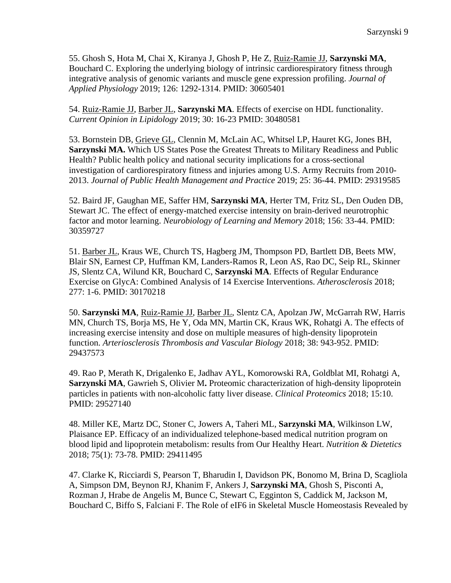55. Ghosh S, Hota M, Chai X, Kiranya J, Ghosh P, He Z, Ruiz-Ramie JJ, **Sarzynski MA**, Bouchard C. Exploring the underlying biology of intrinsic cardiorespiratory fitness through integrative analysis of genomic variants and muscle gene expression profiling. *Journal of Applied Physiology* 2019; 126: 1292-1314. PMID: 30605401

54. Ruiz-Ramie JJ, Barber JL, **Sarzynski MA**. Effects of exercise on HDL functionality. *Current Opinion in Lipidology* 2019; 30: 16-23 PMID: 30480581

53. Bornstein DB, Grieve GL, Clennin M, McLain AC, Whitsel LP, Hauret KG, Jones BH, **Sarzynski MA.** Which US States Pose the Greatest Threats to Military Readiness and Public Health? Public health policy and national security implications for a cross-sectional investigation of cardiorespiratory fitness and injuries among U.S. Army Recruits from 2010- 2013. *Journal of Public Health Management and Practice* 2019; 25: 36-44. PMID: 29319585

52. Baird JF, Gaughan ME, Saffer HM, **Sarzynski MA**, Herter TM, Fritz SL, Den Ouden DB, Stewart JC. The effect of energy-matched exercise intensity on brain-derived neurotrophic factor and motor learning. *Neurobiology of Learning and Memory* 2018; 156: 33-44. PMID: 30359727

51. Barber JL, Kraus WE, Church TS, Hagberg JM, Thompson PD, Bartlett DB, Beets MW, Blair SN, Earnest CP, Huffman KM, Landers-Ramos R, Leon AS, Rao DC, Seip RL, Skinner JS, Slentz CA, Wilund KR, Bouchard C, **Sarzynski MA**. Effects of Regular Endurance Exercise on GlycA: Combined Analysis of 14 Exercise Interventions. *Atherosclerosis* 2018; 277: 1-6. PMID: 30170218

50. **Sarzynski MA**, Ruiz-Ramie JJ, Barber JL, Slentz CA, Apolzan JW, McGarrah RW, Harris MN, Church TS, Borja MS, He Y, Oda MN, Martin CK, Kraus WK, Rohatgi A. The effects of increasing exercise intensity and dose on multiple measures of high-density lipoprotein function. *Arteriosclerosis Thrombosis and Vascular Biology* 2018; 38: 943-952. PMID: 29437573

49. Rao P, Merath K, Drigalenko E, Jadhav AYL, Komorowski RA, Goldblat MI, Rohatgi A, **Sarzynski MA**, Gawrieh S, Olivier M**.** Proteomic characterization of high-density lipoprotein particles in patients with non-alcoholic fatty liver disease. *Clinical Proteomics* 2018; 15:10. PMID: 29527140

48. Miller KE, Martz DC, Stoner C, Jowers A, Taheri ML, **Sarzynski MA**, Wilkinson LW, Plaisance EP. Efficacy of an individualized telephone-based medical nutrition program on blood lipid and lipoprotein metabolism: results from Our Healthy Heart. *Nutrition & Dietetics* 2018; 75(1): 73-78. PMID: 29411495

47. Clarke K, Ricciardi S, Pearson T, Bharudin I, Davidson PK, Bonomo M, Brina D, Scagliola A, Simpson DM, Beynon RJ, Khanim F, Ankers J, **Sarzynski MA**, Ghosh S, Pisconti A, Rozman J, Hrabe de Angelis M, Bunce C, Stewart C, Egginton S, Caddick M, Jackson M, Bouchard C, Biffo S, Falciani F. The Role of eIF6 in Skeletal Muscle Homeostasis Revealed by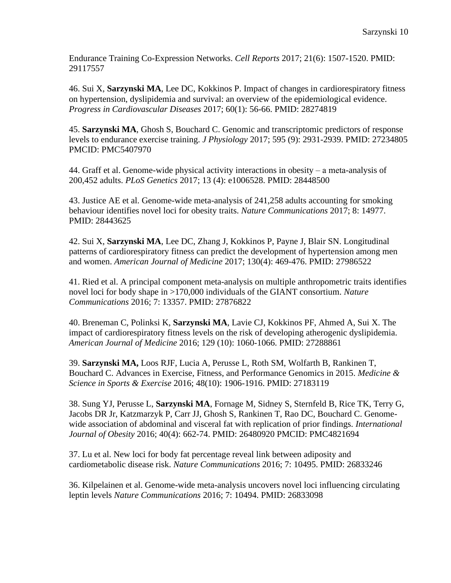Endurance Training Co-Expression Networks. *Cell Reports* 2017; 21(6): 1507-1520. PMID: 29117557

46. Sui X, **Sarzynski MA**, Lee DC, Kokkinos P. Impact of changes in cardiorespiratory fitness on hypertension, dyslipidemia and survival: an overview of the epidemiological evidence. *Progress in Cardiovascular Diseases* 2017; 60(1): 56-66. PMID: 28274819

45. **Sarzynski MA**, Ghosh S, Bouchard C. Genomic and transcriptomic predictors of response levels to endurance exercise training. *J Physiology* 2017; 595 (9): 2931-2939. PMID: 27234805 PMCID: PMC5407970

44. Graff et al. Genome-wide physical activity interactions in obesity  $-$  a meta-analysis of 200,452 adults. *PLoS Genetics* 2017; 13 (4): e1006528. PMID: 28448500

43. Justice AE et al. Genome-wide meta-analysis of 241,258 adults accounting for smoking behaviour identifies novel loci for obesity traits. *Nature Communications* 2017; 8: 14977. PMID: 28443625

42. Sui X, **Sarzynski MA**, Lee DC, Zhang J, Kokkinos P, Payne J, Blair SN. Longitudinal patterns of cardiorespiratory fitness can predict the development of hypertension among men and women. *American Journal of Medicine* 2017; 130(4): 469-476. PMID: 27986522

41. Ried et al. A principal component meta-analysis on multiple anthropometric traits identifies novel loci for body shape in >170,000 individuals of the GIANT consortium. *Nature Communications* 2016; 7: 13357. PMID: 27876822

40. Breneman C, Polinksi K, **Sarzynski MA**, Lavie CJ, Kokkinos PF, Ahmed A, Sui X. The impact of cardiorespiratory fitness levels on the risk of developing atherogenic dyslipidemia. *American Journal of Medicine* 2016; 129 (10): 1060-1066. PMID: 27288861

39. **Sarzynski MA,** Loos RJF, Lucia A, Perusse L, Roth SM, Wolfarth B, Rankinen T, Bouchard C. Advances in Exercise, Fitness, and Performance Genomics in 2015. *Medicine & Science in Sports & Exercise* 2016; 48(10): 1906-1916. PMID: 27183119

38. Sung YJ, Perusse L, **Sarzynski MA**, Fornage M, Sidney S, Sternfeld B, Rice TK, Terry G, Jacobs DR Jr, Katzmarzyk P, Carr JJ, Ghosh S, Rankinen T, Rao DC, Bouchard C. Genomewide association of abdominal and visceral fat with replication of prior findings. *International Journal of Obesity* 2016; 40(4): 662-74. PMID: 26480920 PMCID: PMC4821694

37. Lu et al. New loci for body fat percentage reveal link between adiposity and cardiometabolic disease risk. *Nature Communications* 2016; 7: 10495. PMID: 26833246

36. Kilpelainen et al. Genome-wide meta-analysis uncovers novel loci influencing circulating leptin levels *Nature Communications* 2016; 7: 10494. PMID: 26833098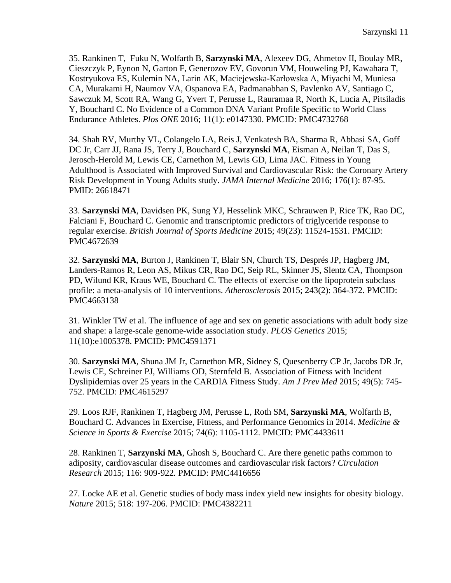35. Rankinen T, Fuku N, Wolfarth B, **Sarzynski MA**, Alexeev DG, Ahmetov II, Boulay MR, Cieszczyk P, Eynon N, Garton F, Generozov EV, Govorun VM, Houweling PJ, Kawahara T, Kostryukova ES, Kulemin NA, Larin AK, Maciejewska-Karłowska A, Miyachi M, Muniesa CA, Murakami H, Naumov VA, Ospanova EA, Padmanabhan S, Pavlenko AV, Santiago C, Sawczuk M, Scott RA, Wang G, Yvert T, Perusse L, Rauramaa R, North K, Lucia A, Pitsiladis Y, Bouchard C. No Evidence of a Common DNA Variant Profile Specific to World Class Endurance Athletes. *Plos ONE* 2016; 11(1): e0147330. PMCID: PMC4732768

34. Shah RV, Murthy VL, Colangelo LA, Reis J, Venkatesh BA, Sharma R, Abbasi SA, Goff DC Jr, Carr JJ, Rana JS, Terry J, Bouchard C, **Sarzynski MA**, Eisman A, Neilan T, Das S, Jerosch-Herold M, Lewis CE, Carnethon M, Lewis GD, Lima JAC. Fitness in Young Adulthood is Associated with Improved Survival and Cardiovascular Risk: the Coronary Artery Risk Development in Young Adults study. *JAMA Internal Medicine* 2016; 176(1): 87-95. PMID: 26618471

33. **Sarzynski MA**, Davidsen PK, Sung YJ, Hesselink MKC, Schrauwen P, Rice TK, Rao DC, Falciani F, Bouchard C. Genomic and transcriptomic predictors of triglyceride response to regular exercise. *British Journal of Sports Medicine* 2015; 49(23): 11524-1531. PMCID: PMC4672639

32. **Sarzynski MA**, Burton J, Rankinen T, Blair SN, Church TS, Després JP, Hagberg JM, Landers-Ramos R, Leon AS, Mikus CR, Rao DC, Seip RL, Skinner JS, Slentz CA, Thompson PD, Wilund KR, Kraus WE, Bouchard C. The effects of exercise on the lipoprotein subclass profile: a meta-analysis of 10 interventions. *Atherosclerosis* 2015; 243(2): 364-372. PMCID: PMC4663138

31. Winkler TW et al. The influence of age and sex on genetic associations with adult body size and shape: a large-scale genome-wide association study. *PLOS Genetics* 2015; 11(10):e1005378. PMCID: PMC4591371

30. **Sarzynski MA**, Shuna JM Jr, Carnethon MR, Sidney S, Quesenberry CP Jr, Jacobs DR Jr, Lewis CE, Schreiner PJ, Williams OD, Sternfeld B. Association of Fitness with Incident Dyslipidemias over 25 years in the CARDIA Fitness Study. *Am J Prev Med* 2015; 49(5): 745- 752. PMCID: PMC4615297

29. Loos RJF, Rankinen T, Hagberg JM, Perusse L, Roth SM, **Sarzynski MA**, Wolfarth B, Bouchard C. Advances in Exercise, Fitness, and Performance Genomics in 2014. *Medicine & Science in Sports & Exercise* 2015; 74(6): 1105-1112. PMCID: PMC4433611

28. Rankinen T, **Sarzynski MA**, Ghosh S, Bouchard C. Are there genetic paths common to adiposity, cardiovascular disease outcomes and cardiovascular risk factors? *Circulation Research* 2015; 116: 909-922*.* PMCID: PMC4416656

27. Locke AE et al. Genetic studies of body mass index yield new insights for obesity biology. *Nature* 2015; 518: 197-206. PMCID: PMC4382211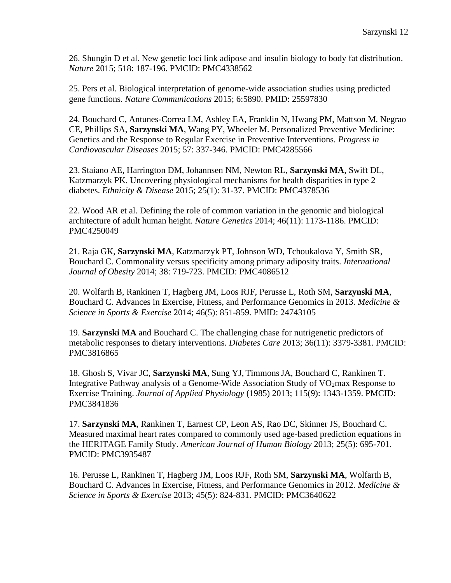26. Shungin D et al. New genetic loci link adipose and insulin biology to body fat distribution. *Nature* 2015; 518: 187-196. PMCID: PMC4338562

25. Pers et al. Biological interpretation of genome-wide association studies using predicted gene functions. *Nature Communications* 2015; 6:5890. PMID: 25597830

24. Bouchard C, Antunes-Correa LM, Ashley EA, Franklin N, Hwang PM, Mattson M, Negrao CE, Phillips SA, **Sarzynski MA**, Wang PY, Wheeler M. Personalized Preventive Medicine: Genetics and the Response to Regular Exercise in Preventive Interventions. *Progress in Cardiovascular Diseases* 2015; 57: 337-346. PMCID: PMC4285566

23. Staiano AE, Harrington DM, Johannsen NM, Newton RL, **Sarzynski MA**, Swift DL, Katzmarzyk PK. Uncovering physiological mechanisms for health disparities in type 2 diabetes. *Ethnicity & Disease* 2015; 25(1): 31-37. PMCID: PMC4378536

22. Wood AR et al. Defining the role of common variation in the genomic and biological architecture of adult human height. *Nature Genetics* 2014; 46(11): 1173-1186. PMCID: PMC4250049

21. Raja GK, **Sarzynski MA**, Katzmarzyk PT, Johnson WD, Tchoukalova Y, Smith SR, Bouchard C. Commonality versus specificity among primary adiposity traits. *International Journal of Obesity* 2014; 38: 719-723. PMCID: PMC4086512

20. Wolfarth B, Rankinen T, Hagberg JM, Loos RJF, Perusse L, Roth SM, **Sarzynski MA**, Bouchard C. Advances in Exercise, Fitness, and Performance Genomics in 2013. *Medicine & Science in Sports & Exercise* 2014; 46(5): 851-859. PMID: 24743105

19. **Sarzynski MA** and Bouchard C. The challenging chase for nutrigenetic predictors of metabolic responses to dietary interventions. *Diabetes Care* 2013; 36(11): 3379-3381. PMCID: PMC3816865

18. Ghosh S, Vivar JC, **Sarzynski MA**, Sung YJ, TimmonsJA, Bouchard C, Rankinen T. Integrative Pathway analysis of a Genome-Wide Association Study of  $VO<sub>2</sub>$ max Response to Exercise Training. *Journal of Applied Physiology* (1985) 2013; 115(9): 1343-1359. PMCID: PMC3841836

17. **Sarzynski MA**, Rankinen T, Earnest CP, Leon AS, Rao DC, Skinner JS, Bouchard C. Measured maximal heart rates compared to commonly used age-based prediction equations in the HERITAGE Family Study. *American Journal of Human Biology* 2013; 25(5): 695-701. PMCID: PMC3935487

16. Perusse L, Rankinen T, Hagberg JM, Loos RJF, Roth SM, **Sarzynski MA**, Wolfarth B, Bouchard C. Advances in Exercise, Fitness, and Performance Genomics in 2012. *Medicine & Science in Sports & Exercise* 2013; 45(5): 824-831. PMCID: PMC3640622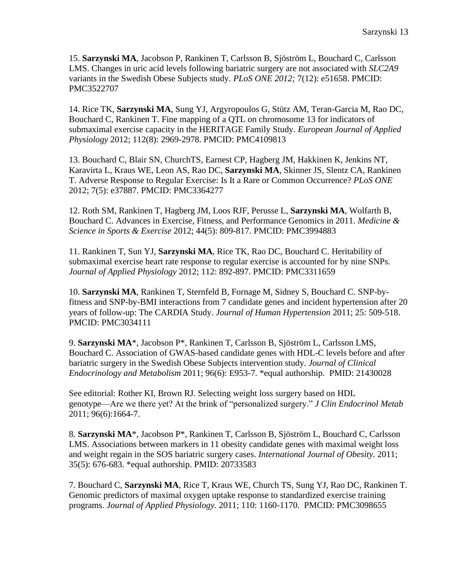15. **Sarzynski MA**, Jacobson P, Rankinen T, Carlsson B, Sjöström L, Bouchard C, Carlsson LMS. Changes in uric acid levels following bariatric surgery are not associated with *SLC2A9* variants in the Swedish Obese Subjects study. *PLoS ONE 2012;* 7(12): e51658. PMCID: PMC3522707

14. Rice TK, **Sarzynski MA**, Sung YJ, Argyropoulos G, Stütz AM, Teran-Garcia M, Rao DC, Bouchard C, Rankinen T. Fine mapping of a QTL on chromosome 13 for indicators of submaximal exercise capacity in the HERITAGE Family Study. *European Journal of Applied Physiology* 2012; 112(8): 2969-2978. PMCID: PMC4109813

13. Bouchard C, Blair SN, ChurchTS, Earnest CP, Hagberg JM, Hakkinen K, Jenkins NT, Karavirta L, Kraus WE, Leon AS, Rao DC, **Sarzynski MA**, Skinner JS, Slentz CA, Rankinen T. Adverse Response to Regular Exercise: Is It a Rare or Common Occurrence? *PLoS ONE* 2012; 7(5): e37887. PMCID: PMC3364277

12. Roth SM, Rankinen T, Hagberg JM, Loos RJF, Perusse L, **Sarzynski MA**, Wolfarth B, Bouchard C. Advances in Exercise, Fitness, and Performance Genomics in 2011. *Medicine & Science in Sports & Exercise* 2012; 44(5): 809-817. PMCID: PMC3994883

11. Rankinen T, Sun YJ, **Sarzynski MA**, Rice TK, Rao DC, Bouchard C. Heritability of submaximal exercise heart rate response to regular exercise is accounted for by nine SNPs. *Journal of Applied Physiology* 2012; 112: 892-897. PMCID: PMC3311659

10. **Sarzynski MA**, Rankinen T, Sternfeld B, Fornage M, Sidney S, Bouchard C. SNP-byfitness and SNP-by-BMI interactions from 7 candidate genes and incident hypertension after 20 years of follow-up: The CARDIA Study. *Journal of Human Hypertension* 2011; 25: 509-518. PMCID: PMC3034111

9. **Sarzynski MA**\*, Jacobson P\*, Rankinen T, Carlsson B, Sjöström L, Carlsson LMS, Bouchard C. Association of GWAS-based candidate genes with HDL-C levels before and after bariatric surgery in the Swedish Obese Subjects intervention study. *Journal of Clinical Endocrinology and Metabolism* 2011; 96(6): E953-7. \*equal authorship. PMID: 21430028

See editorial: Rother KI, Brown RJ. Selecting weight loss surgery based on HDL genotype—Are we there yet? At the brink of "personalized surgery." *J Clin Endocrinol Metab* 2011; 96(6):1664-7.

8. **Sarzynski MA**\*, Jacobson P\*, Rankinen T, Carlsson B, Sjöström L, Bouchard C, Carlsson LMS. Associations between markers in 11 obesity candidate genes with maximal weight loss and weight regain in the SOS bariatric surgery cases. *International Journal of Obesity.* 2011; 35(5): 676-683. \*equal authorship. PMID: 20733583

7. Bouchard C, **Sarzynski MA**, Rice T, Kraus WE, Church TS, Sung YJ, Rao DC, Rankinen T. Genomic predictors of maximal oxygen uptake response to standardized exercise training programs. *Journal of Applied Physiology.* 2011; 110: 1160-1170. PMCID: PMC3098655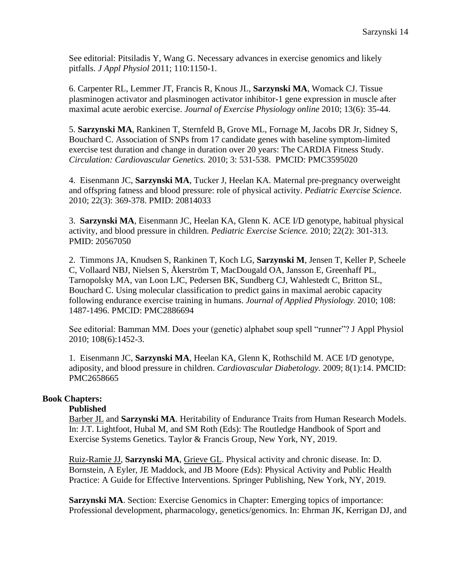See editorial: Pitsiladis Y, Wang G. Necessary advances in exercise genomics and likely pitfalls. *J Appl Physiol* 2011; 110:1150-1.

6. Carpenter RL, Lemmer JT, Francis R, Knous JL, **Sarzynski MA**, Womack CJ. Tissue plasminogen activator and plasminogen activator inhibitor-1 gene expression in muscle after maximal acute aerobic exercise. *Journal of Exercise Physiology online* 2010; 13(6): 35-44.

5. **Sarzynski MA**, Rankinen T, Sternfeld B, Grove ML, Fornage M, Jacobs DR Jr, Sidney S, Bouchard C. Association of SNPs from 17 candidate genes with baseline symptom-limited exercise test duration and change in duration over 20 years: The CARDIA Fitness Study. *Circulation: Cardiovascular Genetics.* 2010; 3: 531-538. PMCID: PMC3595020

4. Eisenmann JC, **Sarzynski MA**, Tucker J, Heelan KA. Maternal pre-pregnancy overweight and offspring fatness and blood pressure: role of physical activity. *Pediatric Exercise Science*. 2010; 22(3): 369-378. PMID: 20814033

3. **Sarzynski MA**, Eisenmann JC, Heelan KA, Glenn K. ACE I/D genotype, habitual physical activity, and blood pressure in children. *Pediatric Exercise Science.* 2010; 22(2): 301-313. PMID: 20567050

2. Timmons JA, Knudsen S, Rankinen T, Koch LG, **Sarzynski M**, Jensen T, Keller P, Scheele C, Vollaard NBJ, Nielsen S, Åkerström T, MacDougald OA, Jansson E, Greenhaff PL, Tarnopolsky MA, van Loon LJC, Pedersen BK, Sundberg CJ, Wahlestedt C, Britton SL, Bouchard C. Using molecular classification to predict gains in maximal aerobic capacity following endurance exercise training in humans. *Journal of Applied Physiology.* 2010; 108: 1487-1496. PMCID: PMC2886694

See editorial: Bamman MM. Does your (genetic) alphabet soup spell "runner"? J Appl Physiol 2010; 108(6):1452-3.

1. Eisenmann JC, **Sarzynski MA**, Heelan KA, Glenn K, Rothschild M. ACE I/D genotype, adiposity, and blood pressure in children. *Cardiovascular Diabetology.* 2009; 8(1):14. PMCID: PMC2658665

## **Book Chapters:**

#### **Published**

Barber JL and **Sarzynski MA**. Heritability of Endurance Traits from Human Research Models. In: J.T. Lightfoot, Hubal M, and SM Roth (Eds): The Routledge Handbook of Sport and Exercise Systems Genetics. Taylor & Francis Group, New York, NY, 2019.

Ruiz-Ramie JJ, **Sarzynski MA**, Grieve GL. Physical activity and chronic disease. In: D. Bornstein, A Eyler, JE Maddock, and JB Moore (Eds): Physical Activity and Public Health Practice: A Guide for Effective Interventions. Springer Publishing, New York, NY, 2019.

**Sarzynski MA**. Section: Exercise Genomics in Chapter: Emerging topics of importance: Professional development, pharmacology, genetics/genomics. In: Ehrman JK, Kerrigan DJ, and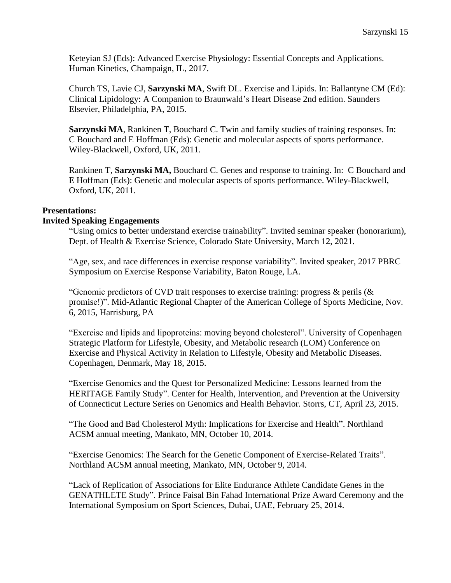Keteyian SJ (Eds): Advanced Exercise Physiology: Essential Concepts and Applications. Human Kinetics, Champaign, IL, 2017.

Church TS, Lavie CJ, **Sarzynski MA**, Swift DL. Exercise and Lipids. In: Ballantyne CM (Ed): Clinical Lipidology: A Companion to Braunwald's Heart Disease 2nd edition. Saunders Elsevier, Philadelphia, PA, 2015.

**Sarzynski MA**, Rankinen T, Bouchard C. Twin and family studies of training responses. In: C Bouchard and E Hoffman (Eds): Genetic and molecular aspects of sports performance. Wiley-Blackwell, Oxford, UK, 2011.

Rankinen T, **Sarzynski MA,** Bouchard C. Genes and response to training. In: C Bouchard and E Hoffman (Eds): Genetic and molecular aspects of sports performance. Wiley-Blackwell, Oxford, UK, 2011.

## **Presentations:**

#### **Invited Speaking Engagements**

"Using omics to better understand exercise trainability". Invited seminar speaker (honorarium), Dept. of Health & Exercise Science, Colorado State University, March 12, 2021.

"Age, sex, and race differences in exercise response variability". Invited speaker, 2017 PBRC Symposium on Exercise Response Variability, Baton Rouge, LA.

"Genomic predictors of CVD trait responses to exercise training: progress  $\&$  perils ( $\&$ promise!)". Mid-Atlantic Regional Chapter of the American College of Sports Medicine, Nov. 6, 2015, Harrisburg, PA

"Exercise and lipids and lipoproteins: moving beyond cholesterol". University of Copenhagen Strategic Platform for Lifestyle, Obesity, and Metabolic research (LOM) Conference on Exercise and Physical Activity in Relation to Lifestyle, Obesity and Metabolic Diseases. Copenhagen, Denmark, May 18, 2015.

"Exercise Genomics and the Quest for Personalized Medicine: Lessons learned from the HERITAGE Family Study". Center for Health, Intervention, and Prevention at the University of Connecticut Lecture Series on Genomics and Health Behavior. Storrs, CT, April 23, 2015.

"The Good and Bad Cholesterol Myth: Implications for Exercise and Health". Northland ACSM annual meeting, Mankato, MN, October 10, 2014.

"Exercise Genomics: The Search for the Genetic Component of Exercise-Related Traits". Northland ACSM annual meeting, Mankato, MN, October 9, 2014.

"Lack of Replication of Associations for Elite Endurance Athlete Candidate Genes in the GENATHLETE Study". Prince Faisal Bin Fahad International Prize Award Ceremony and the International Symposium on Sport Sciences, Dubai, UAE, February 25, 2014.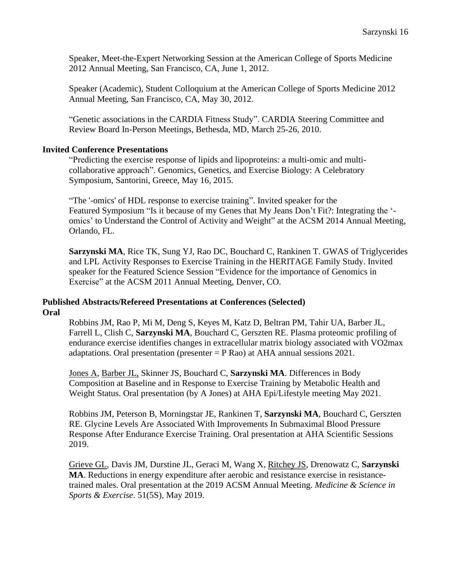Speaker, Meet-the-Expert Networking Session at the American College of Sports Medicine 2012 Annual Meeting, San Francisco, CA, June 1, 2012.

Speaker (Academic), Student Colloquium at the American College of Sports Medicine 2012 Annual Meeting, San Francisco, CA, May 30, 2012.

"Genetic associations in the CARDIA Fitness Study". CARDIA Steering Committee and Review Board In-Person Meetings, Bethesda, MD, March 25-26, 2010.

#### **Invited Conference Presentations**

"Predicting the exercise response of lipids and lipoproteins: a multi-omic and multicollaborative approach". Genomics, Genetics, and Exercise Biology: A Celebratory Symposium, Santorini, Greece, May 16, 2015.

"The '-omics' of HDL response to exercise training". Invited speaker for the Featured Symposium "Is it because of my Genes that My Jeans Don't Fit?: Integrating the ' omics' to Understand the Control of Activity and Weight" at the ACSM 2014 Annual Meeting, Orlando, FL.

**Sarzynski MA**, Rice TK, Sung YJ, Rao DC, Bouchard C, Rankinen T. GWAS of Triglycerides and LPL Activity Responses to Exercise Training in the HERITAGE Family Study. Invited speaker for the Featured Science Session "Evidence for the importance of Genomics in Exercise" at the ACSM 2011 Annual Meeting, Denver, CO.

#### **Published Abstracts/Refereed Presentations at Conferences (Selected) Oral**

Robbins JM, Rao P, Mi M, Deng S, Keyes M, Katz D, Beltran PM, Tahir UA, Barber JL, Farrell L, Clish C, **Sarzynski MA**, Bouchard C, Gerszten RE. Plasma proteomic profiling of endurance exercise identifies changes in extracellular matrix biology associated with VO2max adaptations. Oral presentation (presenter  $= P$  Rao) at AHA annual sessions 2021.

Jones A, Barber JL, Skinner JS, Bouchard C, **Sarzynski MA**. Differences in Body Composition at Baseline and in Response to Exercise Training by Metabolic Health and Weight Status. Oral presentation (by A Jones) at AHA Epi/Lifestyle meeting May 2021.

Robbins JM, Peterson B, Morningstar JE, Rankinen T, **Sarzynski MA**, Bouchard C, Gerszten RE. Glycine Levels Are Associated With Improvements In Submaximal Blood Pressure Response After Endurance Exercise Training. Oral presentation at AHA Scientific Sessions 2019.

Grieve GL, Davis JM, Durstine JL, Geraci M, Wang X, Ritchey JS, Drenowatz C, **Sarzynski MA**. Reductions in energy expenditure after aerobic and resistance exercise in resistancetrained males. Oral presentation at the 2019 ACSM Annual Meeting. *Medicine & Science in Sports & Exercise*. 51(5S), May 2019.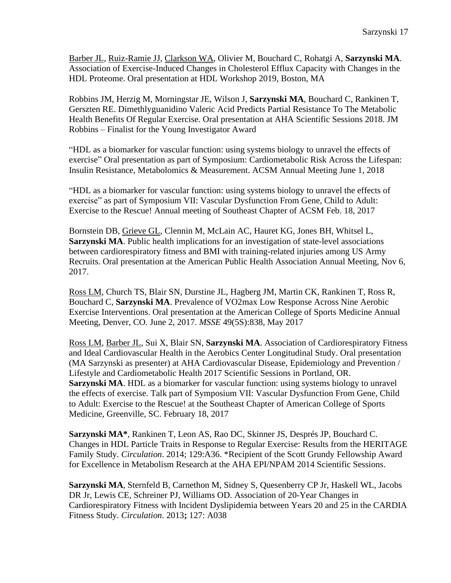Barber JL, Ruiz-Ramie JJ, Clarkson WA, Olivier M, Bouchard C, Rohatgi A, **Sarzynski MA**. Association of Exercise-Induced Changes in Cholesterol Efflux Capacity with Changes in the HDL Proteome. Oral presentation at HDL Workshop 2019, Boston, MA

Robbins JM, Herzig M, Morningstar JE, Wilson J, **Sarzynski MA**, Bouchard C, Rankinen T, Gerszten RE. Dimethlyguanidino Valeric Acid Predicts Partial Resistance To The Metabolic Health Benefits Of Regular Exercise. Oral presentation at AHA Scientific Sessions 2018. JM Robbins – Finalist for the Young Investigator Award

"HDL as a biomarker for vascular function: using systems biology to unravel the effects of exercise" Oral presentation as part of Symposium: Cardiometabolic Risk Across the Lifespan: Insulin Resistance, Metabolomics & Measurement. ACSM Annual Meeting June 1, 2018

"HDL as a biomarker for vascular function: using systems biology to unravel the effects of exercise" as part of Symposium VII: Vascular Dysfunction From Gene, Child to Adult: Exercise to the Rescue! Annual meeting of Southeast Chapter of ACSM Feb. 18, 2017

Bornstein DB, Grieve GL, Clennin M, McLain AC, Hauret KG, Jones BH, Whitsel L, **Sarzynski MA**. Public health implications for an investigation of state-level associations between cardiorespiratory fitness and BMI with training-related injuries among US Army Recruits. Oral presentation at the American Public Health Association Annual Meeting, Nov 6, 2017.

Ross LM, Church TS, Blair SN, Durstine JL, Hagberg JM, Martin CK, Rankinen T, Ross R, Bouchard C, **Sarzynski MA**. Prevalence of VO2max Low Response Across Nine Aerobic Exercise Interventions. Oral presentation at the American College of Sports Medicine Annual Meeting, Denver, CO. June 2, 2017. *MSSE* 49(5S):838, May 2017

Ross LM, Barber JL, Sui X, Blair SN, **Sarzynski MA**. Association of Cardiorespiratory Fitness and Ideal Cardiovascular Health in the Aerobics Center Longitudinal Study. Oral presentation (MA Sarzynski as presenter) at AHA Cardiovascular Disease, Epidemiology and Prevention / Lifestyle and Cardiometabolic Health 2017 Scientific Sessions in Portland, OR. **Sarzynski MA**. HDL as a biomarker for vascular function: using systems biology to unravel the effects of exercise. Talk part of Symposium VII: Vascular Dysfunction From Gene, Child to Adult: Exercise to the Rescue! at the Southeast Chapter of American College of Sports Medicine, Greenville, SC. February 18, 2017

**Sarzynski MA\***, Rankinen T, Leon AS, Rao DC, Skinner JS, Després JP, Bouchard C. Changes in HDL Particle Traits in Response to Regular Exercise: Results from the HERITAGE Family Study. *Circulation*. 2014; 129:A36. \*Recipient of the Scott Grundy Fellowship Award for Excellence in Metabolism Research at the AHA EPI/NPAM 2014 Scientific Sessions.

**Sarzynski MA**, Sternfeld B, Carnethon M, Sidney S, Quesenberry CP Jr, Haskell WL, Jacobs DR Jr, Lewis CE, Schreiner PJ, Williams OD. Association of 20-Year Changes in Cardiorespiratory Fitness with Incident Dyslipidemia between Years 20 and 25 in the CARDIA Fitness Study. *Circulation*. 2013**;** 127: A038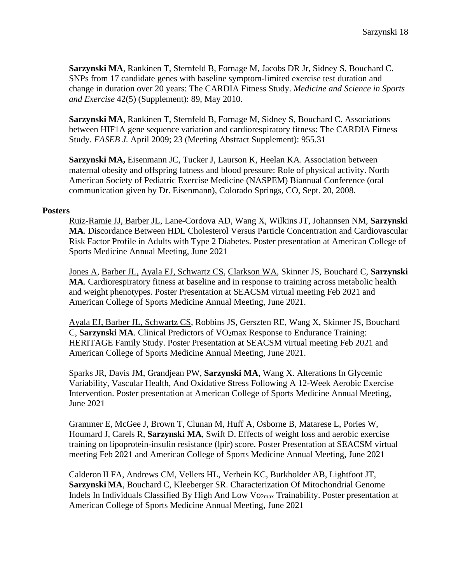**Sarzynski MA**, Rankinen T, Sternfeld B, Fornage M, Jacobs DR Jr, Sidney S, Bouchard C. SNPs from 17 candidate genes with baseline symptom-limited exercise test duration and change in duration over 20 years: The CARDIA Fitness Study. *Medicine and Science in Sports and Exercise* 42(5) (Supplement): 89, May 2010.

**Sarzynski MA**, Rankinen T, Sternfeld B, Fornage M, Sidney S, Bouchard C. Associations between HIF1A gene sequence variation and cardiorespiratory fitness: The CARDIA Fitness Study. *FASEB J.* April 2009; 23 (Meeting Abstract Supplement): 955.31

**Sarzynski MA,** Eisenmann JC, Tucker J, Laurson K, Heelan KA. Association between maternal obesity and offspring fatness and blood pressure: Role of physical activity. North American Society of Pediatric Exercise Medicine (NASPEM) Biannual Conference (oral communication given by Dr. Eisenmann), Colorado Springs, CO, Sept. 20, 2008.

#### **Posters**

Ruiz-Ramie JJ, Barber JL, Lane-Cordova AD, Wang X, Wilkins JT, Johannsen NM, **Sarzynski MA**. Discordance Between HDL Cholesterol Versus Particle Concentration and Cardiovascular Risk Factor Profile in Adults with Type 2 Diabetes. Poster presentation at American College of Sports Medicine Annual Meeting, June 2021

Jones A, Barber JL, Ayala EJ, Schwartz CS, Clarkson WA, Skinner JS, Bouchard C, **Sarzynski MA**. Cardiorespiratory fitness at baseline and in response to training across metabolic health and weight phenotypes. Poster Presentation at SEACSM virtual meeting Feb 2021 and American College of Sports Medicine Annual Meeting, June 2021.

Ayala EJ, Barber JL, Schwartz CS, Robbins JS, Gerszten RE, Wang X, Skinner JS, Bouchard C, **Sarzynski MA**. Clinical Predictors of VO<sub>2</sub>max Response to Endurance Training: HERITAGE Family Study. Poster Presentation at SEACSM virtual meeting Feb 2021 and American College of Sports Medicine Annual Meeting, June 2021.

Sparks JR, Davis JM, Grandjean PW, **Sarzynski MA**, Wang X. Alterations In Glycemic Variability, Vascular Health, And Oxidative Stress Following A 12-Week Aerobic Exercise Intervention. Poster presentation at American College of Sports Medicine Annual Meeting, June 2021

Grammer E, McGee J, Brown T, Clunan M, Huff A, Osborne B, Matarese L, Pories W, Houmard J, Carels R, **Sarzynski MA**, Swift D. Effects of weight loss and aerobic exercise training on lipoprotein-insulin resistance (lpir) score. Poster Presentation at SEACSM virtual meeting Feb 2021 and American College of Sports Medicine Annual Meeting, June 2021

Calderon II FA, Andrews CM, Vellers HL, Verhein KC, Burkholder AB, Lightfoot JT, **Sarzynski MA**, Bouchard C, Kleeberger SR. Characterization Of Mitochondrial Genome Indels In Individuals Classified By High And Low Vo2max Trainability. Poster presentation at American College of Sports Medicine Annual Meeting, June 2021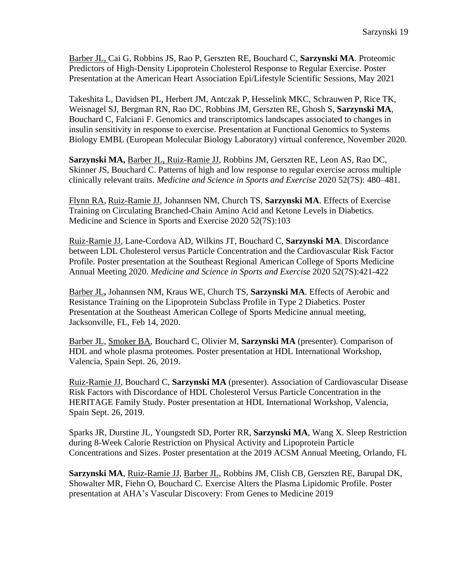Barber JL, Cai G, Robbins JS, Rao P, Gerszten RE, Bouchard C, **Sarzynski MA**. Proteomic Predictors of High-Density Lipoprotein Cholesterol Response to Regular Exercise. Poster Presentation at the American Heart Association Epi/Lifestyle Scientific Sessions, May 2021

Takeshita L, Davidsen PL, Herbert JM, Antczak P, Hesselink MKC, Schrauwen P, Rice TK, Weisnagel SJ, Bergman RN, Rao DC, Robbins JM, Gerszten RE, Ghosh S, **Sarzynski MA**, Bouchard C, Falciani F. Genomics and transcriptomics landscapes associated to changes in insulin sensitivity in response to exercise. Presentation at Functional Genomics to Systems Biology EMBL (European Molecular Biology Laboratory) virtual conference, November 2020.

**Sarzynski MA,** Barber JL, Ruiz-Ramie JJ, Robbins JM, Gerszten RE, Leon AS, Rao DC, Skinner JS, Bouchard C. Patterns of high and low response to regular exercise across multiple clinically relevant traits. *Medicine and Science in Sports and Exercise* 2020 52(7S): 480–481.

Flynn RA, Ruiz-Ramie JJ, Johannsen NM, Church TS, **Sarzynski MA**. Effects of Exercise Training on Circulating Branched-Chain Amino Acid and Ketone Levels in Diabetics. Medicine and Science in Sports and Exercise 2020 52(7S):103

Ruiz-Ramie JJ, Lane-Cordova AD, Wilkins JT, Bouchard C, **Sarzynski MA**. Discordance between LDL Cholesterol versus Particle Concentration and the Cardiovascular Risk Factor Profile. Poster presentation at the Southeast Regional American College of Sports Medicine Annual Meeting 2020. *Medicine and Science in Sports and Exercise* 2020 52(7S):421-422

Barber JL**,** Johannsen NM, Kraus WE, Church TS, **Sarzynski MA**. Effects of Aerobic and Resistance Training on the Lipoprotein Subclass Profile in Type 2 Diabetics. Poster Presentation at the Southeast American College of Sports Medicine annual meeting, Jacksonville, FL, Feb 14, 2020.

Barber JL, Smoker BA, Bouchard C, Olivier M, **Sarzynski MA** (presenter). Comparison of HDL and whole plasma proteomes. Poster presentation at HDL International Workshop, Valencia, Spain Sept. 26, 2019.

Ruiz-Ramie JJ, Bouchard C, **Sarzynski MA** (presenter). Association of Cardiovascular Disease Risk Factors with Discordance of HDL Cholesterol Versus Particle Concentration in the HERITAGE Family Study. Poster presentation at HDL International Workshop, Valencia, Spain Sept. 26, 2019.

Sparks JR, Durstine JL, Youngstedt SD, Porter RR, **Sarzynski MA**, Wang X. Sleep Restriction during 8-Week Calorie Restriction on Physical Activity and Lipoprotein Particle Concentrations and Sizes. Poster presentation at the 2019 ACSM Annual Meeting, Orlando, FL

**Sarzynski MA**, Ruiz-Ramie JJ, Barber JL, Robbins JM, Clish CB, Gerszten RE, Barupal DK, Showalter MR, Fiehn O, Bouchard C. Exercise Alters the Plasma Lipidomic Profile. Poster presentation at AHA's Vascular Discovery: From Genes to Medicine 2019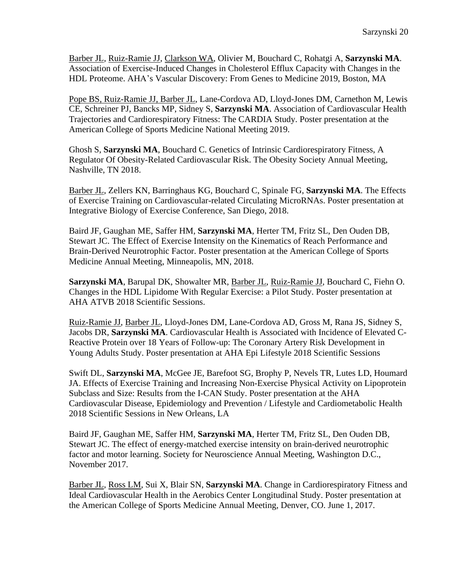Barber JL, Ruiz-Ramie JJ, Clarkson WA, Olivier M, Bouchard C, Rohatgi A, **Sarzynski MA**. Association of Exercise-Induced Changes in Cholesterol Efflux Capacity with Changes in the HDL Proteome. AHA's Vascular Discovery: From Genes to Medicine 2019, Boston, MA

Pope BS, Ruiz-Ramie JJ, Barber JL, Lane-Cordova AD, Lloyd-Jones DM, Carnethon M, Lewis CE, Schreiner PJ, Bancks MP, Sidney S, **Sarzynski MA**. Association of Cardiovascular Health Trajectories and Cardiorespiratory Fitness: The CARDIA Study. Poster presentation at the American College of Sports Medicine National Meeting 2019.

Ghosh S, **Sarzynski MA**, Bouchard C. Genetics of Intrinsic Cardiorespiratory Fitness, A Regulator Of Obesity-Related Cardiovascular Risk. The Obesity Society Annual Meeting, Nashville, TN 2018.

Barber JL, Zellers KN, Barringhaus KG, Bouchard C, Spinale FG, **Sarzynski MA**. The Effects of Exercise Training on Cardiovascular-related Circulating MicroRNAs. Poster presentation at Integrative Biology of Exercise Conference, San Diego, 2018.

Baird JF, Gaughan ME, Saffer HM, **Sarzynski MA**, Herter TM, Fritz SL, Den Ouden DB, Stewart JC. The Effect of Exercise Intensity on the Kinematics of Reach Performance and Brain-Derived Neurotrophic Factor. Poster presentation at the American College of Sports Medicine Annual Meeting, Minneapolis, MN, 2018.

**Sarzynski MA**, Barupal DK, Showalter MR, Barber JL, Ruiz-Ramie JJ, Bouchard C, Fiehn O. Changes in the HDL Lipidome With Regular Exercise: a Pilot Study. Poster presentation at AHA ATVB 2018 Scientific Sessions.

Ruiz-Ramie JJ, Barber JL, Lloyd-Jones DM, Lane-Cordova AD, Gross M, Rana JS, Sidney S, Jacobs DR, **Sarzynski MA**. Cardiovascular Health is Associated with Incidence of Elevated C-Reactive Protein over 18 Years of Follow-up: The Coronary Artery Risk Development in Young Adults Study. Poster presentation at AHA Epi Lifestyle 2018 Scientific Sessions

Swift DL, **Sarzynski MA**, McGee JE, Barefoot SG, Brophy P, Nevels TR, Lutes LD, Houmard JA. Effects of Exercise Training and Increasing Non-Exercise Physical Activity on Lipoprotein Subclass and Size: Results from the I-CAN Study. Poster presentation at the AHA Cardiovascular Disease, Epidemiology and Prevention / Lifestyle and Cardiometabolic Health 2018 Scientific Sessions in New Orleans, LA

Baird JF, Gaughan ME, Saffer HM, **Sarzynski MA**, Herter TM, Fritz SL, Den Ouden DB, Stewart JC. The effect of energy-matched exercise intensity on brain-derived neurotrophic factor and motor learning. Society for Neuroscience Annual Meeting, Washington D.C., November 2017.

Barber JL, Ross LM, Sui X, Blair SN, **Sarzynski MA**. Change in Cardiorespiratory Fitness and Ideal Cardiovascular Health in the Aerobics Center Longitudinal Study. Poster presentation at the American College of Sports Medicine Annual Meeting, Denver, CO. June 1, 2017.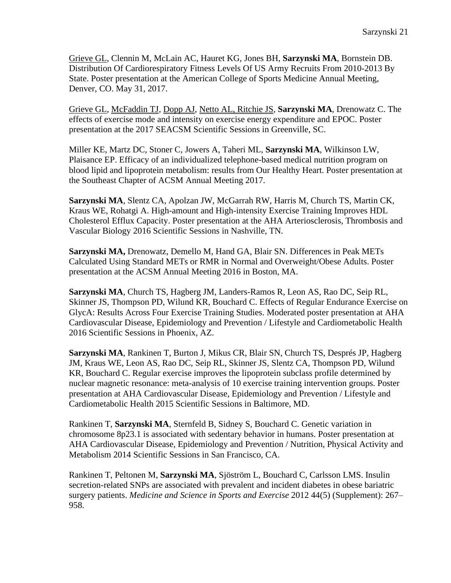Grieve GL, Clennin M, McLain AC, Hauret KG, Jones BH, **Sarzynski MA**, Bornstein DB. Distribution Of Cardiorespiratory Fitness Levels Of US Army Recruits From 2010-2013 By State. Poster presentation at the American College of Sports Medicine Annual Meeting, Denver, CO. May 31, 2017.

Grieve GL, McFaddin TJ, Dopp AJ, Netto AL, Ritchie JS, **Sarzynski MA**, Drenowatz C. The effects of exercise mode and intensity on exercise energy expenditure and EPOC. Poster presentation at the 2017 SEACSM Scientific Sessions in Greenville, SC.

Miller KE, Martz DC, Stoner C, Jowers A, Taheri ML, **Sarzynski MA**, Wilkinson LW, Plaisance EP. Efficacy of an individualized telephone-based medical nutrition program on blood lipid and lipoprotein metabolism: results from Our Healthy Heart. Poster presentation at the Southeast Chapter of ACSM Annual Meeting 2017.

**Sarzynski MA**, Slentz CA, Apolzan JW, McGarrah RW, Harris M, Church TS, Martin CK, Kraus WE, Rohatgi A. High-amount and High-intensity Exercise Training Improves HDL Cholesterol Efflux Capacity. Poster presentation at the AHA Arteriosclerosis, Thrombosis and Vascular Biology 2016 Scientific Sessions in Nashville, TN.

**Sarzynski MA,** Drenowatz, Demello M, Hand GA, Blair SN. Differences in Peak METs Calculated Using Standard METs or RMR in Normal and Overweight/Obese Adults. Poster presentation at the ACSM Annual Meeting 2016 in Boston, MA.

**Sarzynski MA**, Church TS, Hagberg JM, Landers-Ramos R, Leon AS, Rao DC, Seip RL, Skinner JS, Thompson PD, Wilund KR, Bouchard C. Effects of Regular Endurance Exercise on GlycA: Results Across Four Exercise Training Studies. Moderated poster presentation at AHA Cardiovascular Disease, Epidemiology and Prevention / Lifestyle and Cardiometabolic Health 2016 Scientific Sessions in Phoenix, AZ.

**Sarzynski MA**, Rankinen T, Burton J, Mikus CR, Blair SN, Church TS, Després JP, Hagberg JM, Kraus WE, Leon AS, Rao DC, Seip RL, Skinner JS, Slentz CA, Thompson PD, Wilund KR, Bouchard C. Regular exercise improves the lipoprotein subclass profile determined by nuclear magnetic resonance: meta-analysis of 10 exercise training intervention groups. Poster presentation at AHA Cardiovascular Disease, Epidemiology and Prevention / Lifestyle and Cardiometabolic Health 2015 Scientific Sessions in Baltimore, MD.

Rankinen T, **Sarzynski MA**, Sternfeld B, Sidney S, Bouchard C. Genetic variation in chromosome 8p23.1 is associated with sedentary behavior in humans. Poster presentation at AHA Cardiovascular Disease, Epidemiology and Prevention / Nutrition, Physical Activity and Metabolism 2014 Scientific Sessions in San Francisco, CA.

Rankinen T, Peltonen M, **Sarzynski MA**, Sjöström L, Bouchard C, Carlsson LMS. Insulin secretion-related SNPs are associated with prevalent and incident diabetes in obese bariatric surgery patients. *Medicine and Science in Sports and Exercise* 2012 44(5) (Supplement): 267– 958.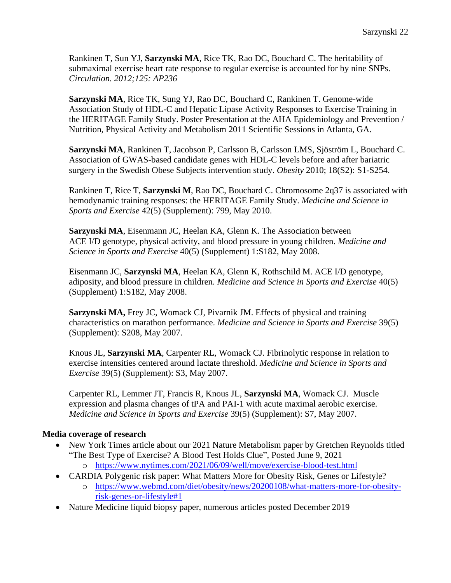Rankinen T, Sun YJ, **Sarzynski MA**, Rice TK, Rao DC, Bouchard C. The heritability of submaximal exercise heart rate response to regular exercise is accounted for by nine SNPs. *Circulation. 2012;125: AP236*

**Sarzynski MA**, Rice TK, Sung YJ, Rao DC, Bouchard C, Rankinen T. Genome-wide Association Study of HDL-C and Hepatic Lipase Activity Responses to Exercise Training in the HERITAGE Family Study. Poster Presentation at the AHA Epidemiology and Prevention / Nutrition, Physical Activity and Metabolism 2011 Scientific Sessions in Atlanta, GA.

**Sarzynski MA**, Rankinen T, Jacobson P, Carlsson B, Carlsson LMS, Sjöström L, Bouchard C. Association of GWAS-based candidate genes with HDL-C levels before and after bariatric surgery in the Swedish Obese Subjects intervention study. *Obesity* 2010; 18(S2): S1-S254.

Rankinen T, Rice T, **Sarzynski M**, Rao DC, Bouchard C. Chromosome 2q37 is associated with hemodynamic training responses: the HERITAGE Family Study. *Medicine and Science in Sports and Exercise* 42(5) (Supplement): 799, May 2010.

**Sarzynski MA**, Eisenmann JC, Heelan KA, Glenn K. The Association between ACE I/D genotype, physical activity, and blood pressure in young children. *Medicine and Science in Sports and Exercise* 40(5) (Supplement) 1:S182, May 2008.

Eisenmann JC, **Sarzynski MA**, Heelan KA, Glenn K, Rothschild M. ACE I/D genotype, adiposity, and blood pressure in children. *Medicine and Science in Sports and Exercise* 40(5) (Supplement) 1:S182, May 2008.

**Sarzynski MA,** Frey JC, Womack CJ, Pivarnik JM. Effects of physical and training characteristics on marathon performance. *Medicine and Science in Sports and Exercise* 39(5) (Supplement): S208, May 2007.

Knous JL, **Sarzynski MA**, Carpenter RL, Womack CJ. Fibrinolytic response in relation to exercise intensities centered around lactate threshold. *Medicine and Science in Sports and Exercise* 39(5) (Supplement): S3, May 2007.

Carpenter RL, Lemmer JT, Francis R, Knous JL, **Sarzynski MA**, Womack CJ. Muscle expression and plasma changes of tPA and PAI-1 with acute maximal aerobic exercise. *Medicine and Science in Sports and Exercise* 39(5) (Supplement): S7, May 2007.

# **Media coverage of research**

- New York Times article about our 2021 Nature Metabolism paper by Gretchen Reynolds titled "The Best Type of Exercise? A Blood Test Holds Clue", Posted June 9, 2021
	- o <https://www.nytimes.com/2021/06/09/well/move/exercise-blood-test.html>
- CARDIA Polygenic risk paper: What Matters More for Obesity Risk, Genes or Lifestyle?
	- o [https://www.webmd.com/diet/obesity/news/20200108/what-matters-more-for-obesity](https://www.webmd.com/diet/obesity/news/20200108/what-matters-more-for-obesity-risk-genes-or-lifestyle#1)[risk-genes-or-lifestyle#1](https://www.webmd.com/diet/obesity/news/20200108/what-matters-more-for-obesity-risk-genes-or-lifestyle#1)
- Nature Medicine liquid biopsy paper, numerous articles posted December 2019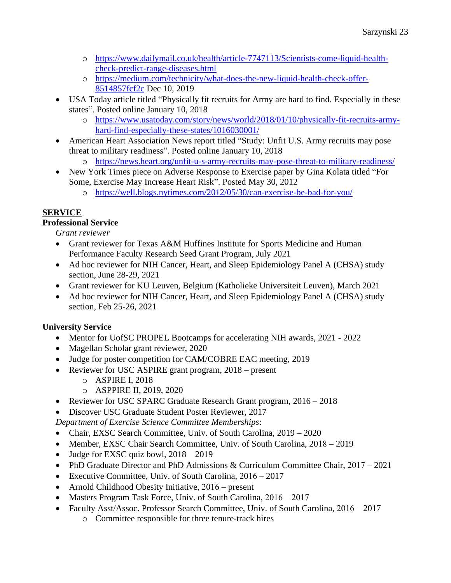- o [https://www.dailymail.co.uk/health/article-7747113/Scientists-come-liquid-health](https://www.dailymail.co.uk/health/article-7747113/Scientists-come-liquid-health-check-predict-range-diseases.html)[check-predict-range-diseases.html](https://www.dailymail.co.uk/health/article-7747113/Scientists-come-liquid-health-check-predict-range-diseases.html)
- o [https://medium.com/technicity/what-does-the-new-liquid-health-check-offer-](https://medium.com/technicity/what-does-the-new-liquid-health-check-offer-8514857fcf2c)[8514857fcf2c](https://medium.com/technicity/what-does-the-new-liquid-health-check-offer-8514857fcf2c) Dec 10, 2019
- USA Today article titled "Physically fit recruits for Army are hard to find. Especially in these states". Posted online January 10, 2018
	- o [https://www.usatoday.com/story/news/world/2018/01/10/physically-fit-recruits-army](https://www.usatoday.com/story/news/world/2018/01/10/physically-fit-recruits-army-hard-find-especially-these-states/1016030001/)[hard-find-especially-these-states/1016030001/](https://www.usatoday.com/story/news/world/2018/01/10/physically-fit-recruits-army-hard-find-especially-these-states/1016030001/)
- American Heart Association News report titled "Study: Unfit U.S. Army recruits may pose threat to military readiness". Posted online January 10, 2018
	- o <https://news.heart.org/unfit-u-s-army-recruits-may-pose-threat-to-military-readiness/>
- New York Times piece on Adverse Response to Exercise paper by Gina Kolata titled "For Some, Exercise May Increase Heart Risk". Posted May 30, 2012
	- o <https://well.blogs.nytimes.com/2012/05/30/can-exercise-be-bad-for-you/>

# **SERVICE**

# **Professional Service**

*Grant reviewer*

- Grant reviewer for Texas A&M Huffines Institute for Sports Medicine and Human Performance Faculty Research Seed Grant Program, July 2021
- Ad hoc reviewer for NIH Cancer, Heart, and Sleep Epidemiology Panel A (CHSA) study section, June 28-29, 2021
- Grant reviewer for KU Leuven, Belgium (Katholieke Universiteit Leuven), March 2021
- Ad hoc reviewer for NIH Cancer, Heart, and Sleep Epidemiology Panel A (CHSA) study section, Feb 25-26, 2021

# **University Service**

- Mentor for UofSC PROPEL Bootcamps for accelerating NIH awards, 2021 2022
- Magellan Scholar grant reviewer, 2020
- Judge for poster competition for CAM/COBRE EAC meeting, 2019
- Reviewer for USC ASPIRE grant program, 2018 present
	- o ASPIRE I, 2018
	- o ASPPIRE II, 2019, 2020
- Reviewer for USC SPARC Graduate Research Grant program,  $2016 2018$

• Discover USC Graduate Student Poster Reviewer, 2017

*Department of Exercise Science Committee Memberships*:

- Chair, EXSC Search Committee, Univ. of South Carolina,  $2019 2020$
- Member, EXSC Chair Search Committee, Univ. of South Carolina,  $2018 2019$
- Judge for EXSC quiz bowl,  $2018 2019$
- PhD Graduate Director and PhD Admissions & Curriculum Committee Chair, 2017 2021
- Executive Committee, Univ. of South Carolina, 2016 2017
- Arnold Childhood Obesity Initiative,  $2016$  present
- Masters Program Task Force, Univ. of South Carolina, 2016 2017
- Faculty Asst/Assoc. Professor Search Committee, Univ. of South Carolina, 2016 2017
	- o Committee responsible for three tenure-track hires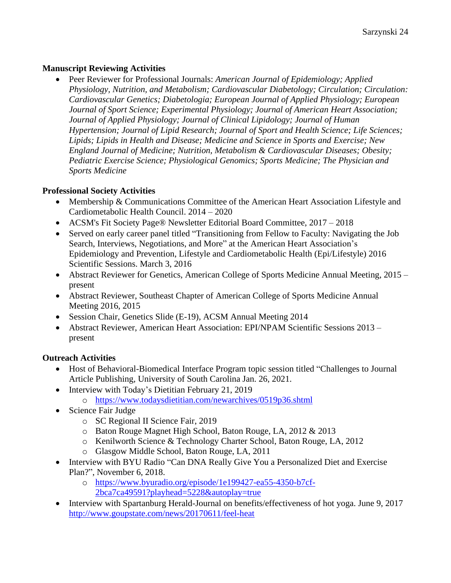## **Manuscript Reviewing Activities**

• Peer Reviewer for Professional Journals: *American Journal of Epidemiology; Applied Physiology, Nutrition, and Metabolism; Cardiovascular Diabetology; Circulation; Circulation: Cardiovascular Genetics; Diabetologia; European Journal of Applied Physiology; European Journal of Sport Science; Experimental Physiology; Journal of American Heart Association; Journal of Applied Physiology; Journal of Clinical Lipidology; Journal of Human Hypertension; Journal of Lipid Research; Journal of Sport and Health Science; Life Sciences; Lipids; Lipids in Health and Disease; Medicine and Science in Sports and Exercise; New England Journal of Medicine; Nutrition, Metabolism & Cardiovascular Diseases; Obesity; Pediatric Exercise Science; Physiological Genomics; Sports Medicine; The Physician and Sports Medicine*

## **Professional Society Activities**

- Membership & Communications Committee of the American Heart Association Lifestyle and Cardiometabolic Health Council. 2014 – 2020
- ACSM's Fit Society Page® Newsletter Editorial Board Committee, 2017 2018
- Served on early career panel titled "Transitioning from Fellow to Faculty: Navigating the Job Search, Interviews, Negotiations, and More" at the American Heart Association's Epidemiology and Prevention, Lifestyle and Cardiometabolic Health (Epi/Lifestyle) 2016 Scientific Sessions. March 3, 2016
- Abstract Reviewer for Genetics, American College of Sports Medicine Annual Meeting, 2015 present
- Abstract Reviewer, Southeast Chapter of American College of Sports Medicine Annual Meeting 2016, 2015
- Session Chair, Genetics Slide (E-19), ACSM Annual Meeting 2014
- Abstract Reviewer, American Heart Association: EPI/NPAM Scientific Sessions 2013 present

# **Outreach Activities**

- Host of Behavioral-Biomedical Interface Program topic session titled "Challenges to Journal" Article Publishing, University of South Carolina Jan. 26, 2021.
- Interview with Today's Dietitian February 21, 2019
	- o <https://www.todaysdietitian.com/newarchives/0519p36.shtml>
- Science Fair Judge
	- o SC Regional II Science Fair, 2019
	- o Baton Rouge Magnet High School, Baton Rouge, LA, 2012 & 2013
	- o Kenilworth Science & Technology Charter School, Baton Rouge, LA, 2012
	- o Glasgow Middle School, Baton Rouge, LA, 2011
- Interview with BYU Radio "Can DNA Really Give You a Personalized Diet and Exercise Plan?", November 6, 2018.
	- o [https://www.byuradio.org/episode/1e199427-ea55-4350-b7cf-](https://www.byuradio.org/episode/1e199427-ea55-4350-b7cf-2bca7ca49591?playhead=5228&autoplay=true)[2bca7ca49591?playhead=5228&autoplay=true](https://www.byuradio.org/episode/1e199427-ea55-4350-b7cf-2bca7ca49591?playhead=5228&autoplay=true)
- Interview with Spartanburg Herald-Journal on benefits/effectiveness of hot yoga. June 9, 2017 <http://www.goupstate.com/news/20170611/feel-heat>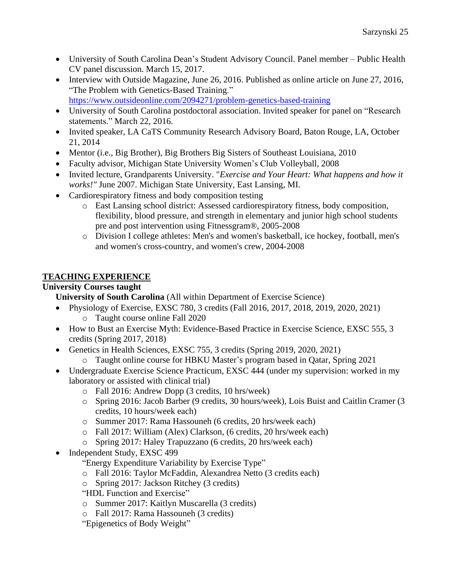- University of South Carolina Dean's Student Advisory Council. Panel member Public Health CV panel discussion. March 15, 2017.
- Interview with Outside Magazine, June 26, 2016. Published as online article on June 27, 2016, "The Problem with Genetics-Based Training." <https://www.outsideonline.com/2094271/problem-genetics-based-training>
- University of South Carolina postdoctoral association. Invited speaker for panel on "Research" statements." March 22, 2016.
- Invited speaker, LA CaTS Community Research Advisory Board, Baton Rouge, LA, October 21, 2014
- Mentor (i.e., Big Brother), Big Brothers Big Sisters of Southeast Louisiana, 2010
- Faculty advisor, Michigan State University Women's Club Volleyball, 2008
- Invited lecture, Grandparents University. "*Exercise and Your Heart: What happens and how it works!"* June 2007. Michigan State University, East Lansing, MI.
- Cardiorespiratory fitness and body composition testing
	- o East Lansing school district: Assessed cardiorespiratory fitness, body composition, flexibility, blood pressure, and strength in elementary and junior high school students pre and post intervention using Fitnessgram®, 2005-2008
	- o Division I college athletes: Men's and women's basketball, ice hockey, football, men's and women's cross-country, and women's crew, 2004-2008

# **TEACHING EXPERIENCE**

## **University Courses taught**

**University of South Carolina** (All within Department of Exercise Science)

- Physiology of Exercise, EXSC 780, 3 credits (Fall 2016, 2017, 2018, 2019, 2020, 2021) o Taught course online Fall 2020
- How to Bust an Exercise Myth: Evidence-Based Practice in Exercise Science, EXSC 555, 3 credits (Spring 2017, 2018)
- Genetics in Health Sciences, EXSC 755, 3 credits (Spring 2019, 2020, 2021)
	- o Taught online course for HBKU Master's program based in Qatar, Spring 2021
- Undergraduate Exercise Science Practicum, EXSC 444 (under my supervision: worked in my laboratory or assisted with clinical trial)
	- o Fall 2016: Andrew Dopp (3 credits, 10 hrs/week)
	- o Spring 2016: Jacob Barber (9 credits, 30 hours/week), Lois Buist and Caitlin Cramer (3 credits, 10 hours/week each)
	- o Summer 2017: Rama Hassouneh (6 credits, 20 hrs/week each)
	- o Fall 2017: William (Alex) Clarkson, (6 credits, 20 hrs/week each)
	- o Spring 2017: Haley Trapuzzano (6 credits, 20 hrs/week each)
- Independent Study, EXSC 499
	- "Energy Expenditure Variability by Exercise Type"
	- o Fall 2016: Taylor McFaddin, Alexandrea Netto (3 credits each)
	- o Spring 2017: Jackson Ritchey (3 credits)
	- "HDL Function and Exercise"
	- o Summer 2017: Kaitlyn Muscarella (3 credits)
	- o Fall 2017: Rama Hassouneh (3 credits)
	- "Epigenetics of Body Weight"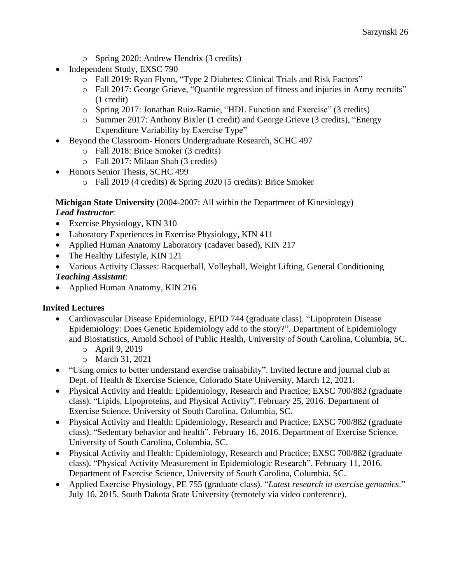- o Spring 2020: Andrew Hendrix (3 credits)
- Independent Study, EXSC 790
	- o Fall 2019: Ryan Flynn, "Type 2 Diabetes: Clinical Trials and Risk Factors"
	- o Fall 2017: George Grieve, "Quantile regression of fitness and injuries in Army recruits" (1 credit)
	- o Spring 2017: Jonathan Ruiz-Ramie, "HDL Function and Exercise" (3 credits)
	- o Summer 2017: Anthony Bixler (1 credit) and George Grieve (3 credits), "Energy Expenditure Variability by Exercise Type"
- Beyond the Classroom- Honors Undergraduate Research, SCHC 497
	- o Fall 2018: Brice Smoker (3 credits)
	- o Fall 2017: Milaan Shah (3 credits)
- Honors Senior Thesis, SCHC 499
	- o Fall 2019 (4 credits) & Spring 2020 (5 credits): Brice Smoker

#### **Michigan State University** (2004-2007: All within the Department of Kinesiology) *Lead Instructor*:

- Exercise Physiology, KIN 310
- Laboratory Experiences in Exercise Physiology, KIN 411
- Applied Human Anatomy Laboratory (cadaver based), KIN 217
- The Healthy Lifestyle, KIN 121
- Various Activity Classes: Racquetball, Volleyball, Weight Lifting, General Conditioning

# *Teaching Assistant*:

• Applied Human Anatomy, KIN 216

# **Invited Lectures**

- Cardiovascular Disease Epidemiology, EPID 744 (graduate class). "Lipoprotein Disease Epidemiology: Does Genetic Epidemiology add to the story?". Department of Epidemiology and Biostatistics, Arnold School of Public Health, University of South Carolina, Columbia, SC.
	- o April 9, 2019
	- o March 31, 2021
- "Using omics to better understand exercise trainability". Invited lecture and journal club at Dept. of Health & Exercise Science, Colorado State University, March 12, 2021.
- Physical Activity and Health: Epidemiology, Research and Practice; EXSC 700/882 (graduate class). "Lipids, Lipoproteins, and Physical Activity". February 25, 2016. Department of Exercise Science, University of South Carolina, Columbia, SC.
- Physical Activity and Health: Epidemiology, Research and Practice; EXSC 700/882 (graduate class). "Sedentary behavior and health". February 16, 2016. Department of Exercise Science, University of South Carolina, Columbia, SC.
- Physical Activity and Health: Epidemiology, Research and Practice; EXSC 700/882 (graduate class). "Physical Activity Measurement in Epidemiologic Research". February 11, 2016. Department of Exercise Science, University of South Carolina, Columbia, SC.
- Applied Exercise Physiology, PE 755 (graduate class). "*Latest research in exercise genomics*." July 16, 2015. South Dakota State University (remotely via video conference).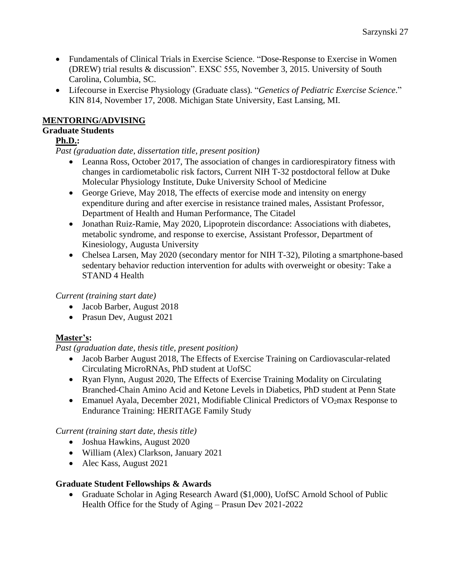- Fundamentals of Clinical Trials in Exercise Science. "Dose-Response to Exercise in Women (DREW) trial results & discussion". EXSC 555, November 3, 2015. University of South Carolina, Columbia, SC.
- Lifecourse in Exercise Physiology (Graduate class)*.* "*Genetics of Pediatric Exercise Science*." KIN 814, November 17, 2008. Michigan State University, East Lansing, MI.

## **MENTORING/ADVISING**

# **Graduate Students**

## **Ph.D.:**

*Past (graduation date, dissertation title, present position)*

- Leanna Ross, October 2017, The association of changes in cardiorespiratory fitness with changes in cardiometabolic risk factors, Current NIH T-32 postdoctoral fellow at Duke Molecular Physiology Institute, Duke University School of Medicine
- George Grieve, May 2018, The effects of exercise mode and intensity on energy expenditure during and after exercise in resistance trained males, Assistant Professor, Department of Health and Human Performance, The Citadel
- Jonathan Ruiz-Ramie, May 2020, Lipoprotein discordance: Associations with diabetes, metabolic syndrome, and response to exercise, Assistant Professor, Department of Kinesiology, Augusta University
- Chelsea Larsen, May 2020 (secondary mentor for NIH T-32), Piloting a smartphone-based sedentary behavior reduction intervention for adults with overweight or obesity: Take a STAND 4 Health

## *Current (training start date)*

- Jacob Barber, August 2018
- Prasun Dev, August 2021

# **Master's:**

*Past (graduation date, thesis title, present position)*

- Jacob Barber August 2018, The Effects of Exercise Training on Cardiovascular-related Circulating MicroRNAs, PhD student at UofSC
- Ryan Flynn, August 2020, The Effects of Exercise Training Modality on Circulating Branched-Chain Amino Acid and Ketone Levels in Diabetics, PhD student at Penn State
- Emanuel Ayala, December 2021, Modifiable Clinical Predictors of VO<sub>2</sub>max Response to Endurance Training: HERITAGE Family Study

# *Current (training start date, thesis title)*

- Joshua Hawkins, August 2020
- William (Alex) Clarkson, January 2021
- Alec Kass, August 2021

## **Graduate Student Fellowships & Awards**

• Graduate Scholar in Aging Research Award (\$1,000), UofSC Arnold School of Public Health Office for the Study of Aging – Prasun Dev 2021-2022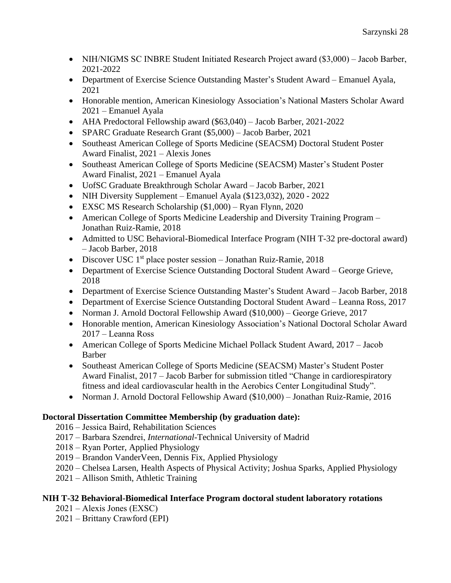- NIH/NIGMS SC INBRE Student Initiated Research Project award (\$3,000) Jacob Barber, 2021-2022
- Department of Exercise Science Outstanding Master's Student Award Emanuel Ayala, 2021
- Honorable mention, American Kinesiology Association's National Masters Scholar Award 2021 ‒ Emanuel Ayala
- AHA Predoctoral Fellowship award (\$63,040) Jacob Barber, 2021-2022
- SPARC Graduate Research Grant (\$5,000) Jacob Barber, 2021
- Southeast American College of Sports Medicine (SEACSM) Doctoral Student Poster Award Finalist, 2021 ‒ Alexis Jones
- Southeast American College of Sports Medicine (SEACSM) Master's Student Poster Award Finalist, 2021 ‒ Emanuel Ayala
- UofSC Graduate Breakthrough Scholar Award Jacob Barber, 2021
- NIH Diversity Supplement Emanuel Ayala (\$123,032), 2020 2022
- EXSC MS Research Scholarship (\$1,000) Ryan Flynn, 2020
- American College of Sports Medicine Leadership and Diversity Training Program Jonathan Ruiz-Ramie, 2018
- Admitted to USC Behavioral-Biomedical Interface Program (NIH T-32 pre-doctoral award) – Jacob Barber, 2018
- Discover USC 1<sup>st</sup> place poster session Jonathan Ruiz-Ramie, 2018
- Department of Exercise Science Outstanding Doctoral Student Award George Grieve, 2018
- Department of Exercise Science Outstanding Master's Student Award Jacob Barber, 2018
- Department of Exercise Science Outstanding Doctoral Student Award Leanna Ross, 2017
- Norman J. Arnold Doctoral Fellowship Award (\$10,000) George Grieve, 2017
- Honorable mention, American Kinesiology Association's National Doctoral Scholar Award 2017 ‒ Leanna Ross
- American College of Sports Medicine Michael Pollack Student Award, 2017 Jacob Barber
- Southeast American College of Sports Medicine (SEACSM) Master's Student Poster Award Finalist, 2017 – Jacob Barber for submission titled "Change in cardiorespiratory" fitness and ideal cardiovascular health in the Aerobics Center Longitudinal Study".
- Norman J. Arnold Doctoral Fellowship Award (\$10,000) Jonathan Ruiz-Ramie, 2016

## **Doctoral Dissertation Committee Membership (by graduation date):**

- 2016 ‒ Jessica Baird, Rehabilitation Sciences
- 2017 ‒ Barbara Szendrei, *International*-Technical University of Madrid
- 2018 ‒ Ryan Porter, Applied Physiology
- 2019 ‒ Brandon VanderVeen, Dennis Fix, Applied Physiology
- 2020 ‒ Chelsea Larsen, Health Aspects of Physical Activity; Joshua Sparks, Applied Physiology
- 2021 ‒ Allison Smith, Athletic Training

## **NIH T-32 Behavioral-Biomedical Interface Program doctoral student laboratory rotations**

- $2021 -$ Alexis Jones (EXSC)
- 2021 ‒ Brittany Crawford (EPI)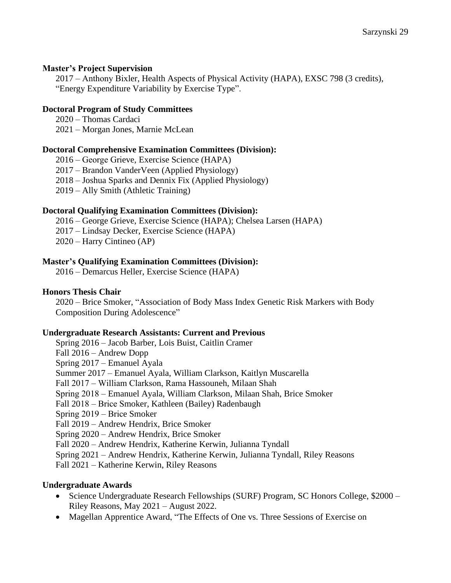#### **Master's Project Supervision**

2017 ‒ Anthony Bixler, Health Aspects of Physical Activity (HAPA), EXSC 798 (3 credits), "Energy Expenditure Variability by Exercise Type".

#### **Doctoral Program of Study Committees**

2020 ‒ Thomas Cardaci

2021 ‒ Morgan Jones, Marnie McLean

#### **Doctoral Comprehensive Examination Committees (Division):**

2016 ‒ George Grieve, Exercise Science (HAPA)

2017 ‒ Brandon VanderVeen (Applied Physiology)

2018 ‒ Joshua Sparks and Dennix Fix (Applied Physiology)

2019 ‒ Ally Smith (Athletic Training)

#### **Doctoral Qualifying Examination Committees (Division):**

2016 ‒ George Grieve, Exercise Science (HAPA); Chelsea Larsen (HAPA)

2017 ‒ Lindsay Decker, Exercise Science (HAPA)

2020 ‒ Harry Cintineo (AP)

#### **Master's Qualifying Examination Committees (Division):**

2016 ‒ Demarcus Heller, Exercise Science (HAPA)

#### **Honors Thesis Chair**

2020 ‒ Brice Smoker, "Association of Body Mass Index Genetic Risk Markers with Body Composition During Adolescence"

#### **Undergraduate Research Assistants: Current and Previous**

Spring 2016 ‒ Jacob Barber, Lois Buist, Caitlin Cramer Fall 2016 – Andrew Dopp Spring 2017 – Emanuel Ayala Summer 2017 ‒ Emanuel Ayala, William Clarkson, Kaitlyn Muscarella Fall 2017 ‒ William Clarkson, Rama Hassouneh, Milaan Shah Spring 2018 ‒ Emanuel Ayala, William Clarkson, Milaan Shah, Brice Smoker Fall 2018 ‒ Brice Smoker, Kathleen (Bailey) Radenbaugh Spring 2019 ‒ Brice Smoker Fall 2019 – Andrew Hendrix, Brice Smoker Spring 2020 ‒ Andrew Hendrix, Brice Smoker Fall 2020 ‒ Andrew Hendrix, Katherine Kerwin, Julianna Tyndall Spring 2021 ‒ Andrew Hendrix, Katherine Kerwin, Julianna Tyndall, Riley Reasons Fall 2021 ‒ Katherine Kerwin, Riley Reasons

#### **Undergraduate Awards**

- Science Undergraduate Research Fellowships (SURF) Program, SC Honors College, \$2000 Riley Reasons, May 2021 ‒ August 2022.
- Magellan Apprentice Award, "The Effects of One vs. Three Sessions of Exercise on